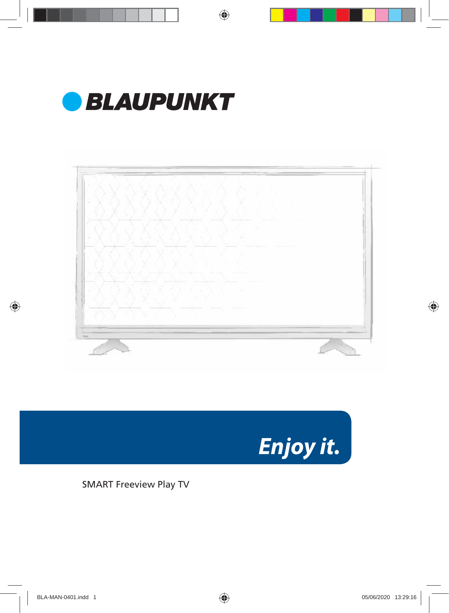



Enjoy it.

SMART Freeview Play TV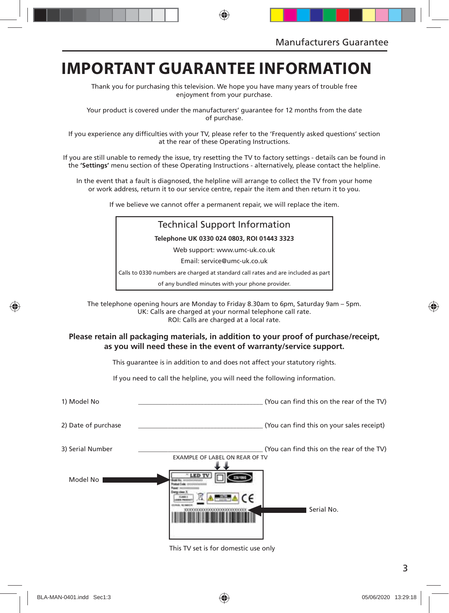### **IMPORTANT GUARANTEE INFORMATION**

Thank you for purchasing this television. We hope you have many years of trouble free enjoyment from your purchase.

Your product is covered under the manufacturers' guarantee for 12 months from the date of purchase.

If you experience any difficulties with your TV, please refer to the 'Frequently asked questions' section at the rear of these Operating Instructions.

If you are still unable to remedy the issue, try resetting the TV to factory settings - details can be found in the **'Settings'** menu section of these Operating Instructions - alternatively, please contact the helpline.

In the event that a fault is diagnosed, the helpline will arrange to collect the TV from your home or work address, return it to our service centre, repair the item and then return it to you.

If we believe we cannot offer a permanent repair, we will replace the item.

### Technical Support Information **Telephone UK 0330 024 0803, ROI 01443 3323** Web support: www.umc-uk.co.uk Email: service@umc-uk.co.uk Calls to 0330 numbers are charged at standard call rates and are included as part of any bundled minutes with your phone provider.

The telephone opening hours are Monday to Friday 8.30am to 6pm, Saturday 9am – 5pm. UK: Calls are charged at your normal telephone call rate. ROI: Calls are charged at a local rate.

#### **Please retain all packaging materials, in addition to your proof of purchase/receipt, as you will need these in the event of warranty/service support.**

This guarantee is in addition to and does not affect your statutory rights.

If you need to call the helpline, you will need the following information.

| 1) Model No         | (You can find this on the rear of the TV)                                   |
|---------------------|-----------------------------------------------------------------------------|
| 2) Date of purchase | (You can find this on your sales receipt)                                   |
| 3) Serial Number    | (You can find this on the rear of the TV)<br>EXAMPLE OF LABEL ON REAR OF TV |
| Model No            | Serial No.                                                                  |

This TV set is for domestic use only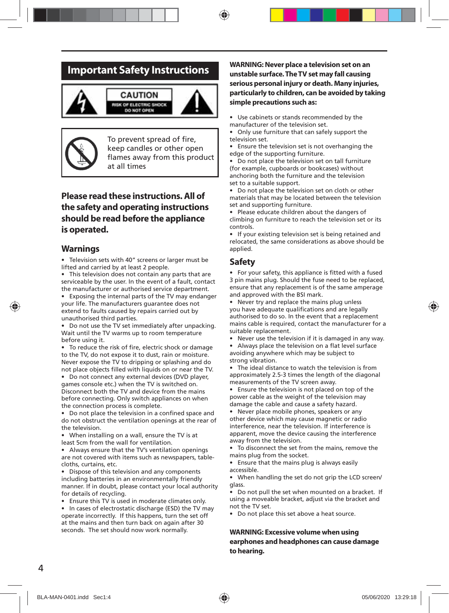### **Important Safety Instructions**





To prevent spread of fire, keep candles or other open flames away from this product at all times

### **Please read these instructions. All of the safety and operating instructions should be read before the appliance is operated.**

#### **Warnings**

• Television sets with 40" screens or larger must be lifted and carried by at least 2 people.

• This television does not contain any parts that are serviceable by the user. In the event of a fault, contact the manufacturer or authorised service department.

• Exposing the internal parts of the TV may endanger your life. The manufacturers guarantee does not extend to faults caused by repairs carried out by unauthorised third parties.

• Do not use the TV set immediately after unpacking. Wait until the TV warms up to room temperature before using it.

To reduce the risk of fire, electric shock or damage to the TV, do not expose it to dust, rain or moisture. Never expose the TV to dripping or splashing and do not place objects filled with liquids on or near the TV.

• Do not connect any external devices (DVD player, games console etc.) when the TV is switched on. Disconnect both the TV and device from the mains before connecting. Only switch appliances on when the connection process is complete.

• Do not place the television in a confined space and do not obstruct the ventilation openings at the rear of the television.

• When installing on a wall, ensure the TV is at least 5cm from the wall for ventilation.

• Always ensure that the TV's ventilation openings are not covered with items such as newspapers, tablecloths, curtains, etc.

Dispose of this television and any components including batteries in an environmentally friendly manner. If in doubt, please contact your local authority for details of recycling.

• Ensure this TV is used in moderate climates only.

• In cases of electrostatic discharge (ESD) the TV may operate incorrectly. If this happens, turn the set off at the mains and then turn back on again after 30 seconds. The set should now work normally.

#### **WARNING: Never place a television set on an unstable surface. The TV set may fall causing serious personal injury or death. Many injuries, particularly to children, can be avoided by taking simple precautions such as:**

• Use cabinets or stands recommended by the manufacturer of the television set.

• Only use furniture that can safely support the television set.

• Ensure the television set is not overhanging the edge of the supporting furniture.

• Do not place the television set on tall furniture (for example, cupboards or bookcases) without anchoring both the furniture and the television set to a suitable support.

• Do not place the television set on cloth or other materials that may be located between the television set and supporting furniture.

• Please educate children about the dangers of climbing on furniture to reach the television set or its controls.

• If your existing television set is being retained and relocated, the same considerations as above should be applied.

#### **Safety**

• For your safety, this appliance is fitted with a fused 3 pin mains plug. Should the fuse need to be replaced, ensure that any replacement is of the same amperage and approved with the BSI mark.

• Never try and replace the mains plug unless you have adequate qualifications and are legally authorised to do so. In the event that a replacement mains cable is required, contact the manufacturer for a suitable replacement.

• Never use the television if it is damaged in any way.

Always place the television on a flat level surface avoiding anywhere which may be subject to strong vibration.

• The ideal distance to watch the television is from approximately 2.5-3 times the length of the diagonal measurements of the TV screen away.

• Ensure the television is not placed on top of the power cable as the weight of the television may damage the cable and cause a safety hazard.

• Never place mobile phones, speakers or any other device which may cause magnetic or radio interference, near the television. If interference is apparent, move the device causing the interference away from the television.

• To disconnect the set from the mains, remove the mains plug from the socket.

• Ensure that the mains plug is always easily accessible.

• When handling the set do not grip the LCD screen/ glass.

• Do not pull the set when mounted on a bracket. If using a moveable bracket, adjust via the bracket and not the TV set.

• Do not place this set above a heat source.

#### **WARNING: Excessive volume when using earphones and headphones can cause damage to hearing.**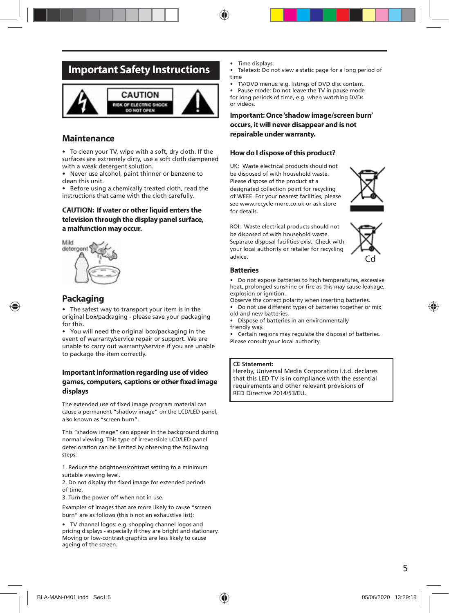### **Important Safety Instructions**



### **Maintenance**

• To clean your TV, wipe with a soft, dry cloth. If the surfaces are extremely dirty, use a soft cloth dampened with a weak detergent solution.

• Never use alcohol, paint thinner or benzene to clean this unit.

• Before using a chemically treated cloth, read the instructions that came with the cloth carefully.

#### **CAUTION: If water or other liquid enters the television through the display panel surface, a malfunction may occur.**



### **Packaging**

The safest way to transport your item is in the original box/packaging - please save your packaging for this.

• You will need the original box/packaging in the event of warranty/service repair or support. We are unable to carry out warranty/service if you are unable to package the item correctly.

#### **Important information regarding use of video**  games, computers, captions or other fixed image **displays**

The extended use of fixed image program material can cause a permanent "shadow image" on the LCD/LED panel, also known as "screen burn".

This "shadow image" can appear in the background during normal viewing. This type of irreversible LCD/LED panel deterioration can be limited by observing the following steps:

1. Reduce the brightness/contrast setting to a minimum suitable viewing level.

2. Do not display the fixed image for extended periods of time.

3. Turn the power off when not in use.

Examples of images that are more likely to cause "screen burn" are as follows (this is not an exhaustive list):

• TV channel logos: e.g. shopping channel logos and pricing displays - especially if they are bright and stationary. Moving or low-contrast graphics are less likely to cause ageing of the screen.

- Time displays.
- Teletext: Do not view a static page for a long period of time
- TV/DVD menus: e.g. listings of DVD disc content.
- Pause mode: Do not leave the TV in pause mode for long periods of time, e.g. when watching DVDs or videos.

#### **Important: Once 'shadow image/screen burn' occurs, it will never disappear and is not repairable under warranty.**

#### **How do I dispose of this product?**

UK: Waste electrical products should not be disposed of with household waste. Please dispose of the product at a designated collection point for recycling of WEEE. For your nearest facilities, please see www.recycle-more.co.uk or ask store for details.



ROI: Waste electrical products should not be disposed of with household waste. Separate disposal facilities exist. Check with your local authority or retailer for recycling advice.



#### **Batteries**

• Do not expose batteries to high temperatures, excessive heat, prolonged sunshine or fire as this may cause leakage, explosion or ignition.

- Observe the correct polarity when inserting batteries.
- Do not use different types of batteries together or mix old and new batteries.
- Dispose of batteries in an environmentally friendly way.
- Certain regions may regulate the disposal of batteries. Please consult your local authority.

#### **CE Statement:**

Hereby, Universal Media Corporation l.t.d. declares that this LED TV is in compliance with the essential requirements and other relevant provisions of RED Directive 2014/53/EU.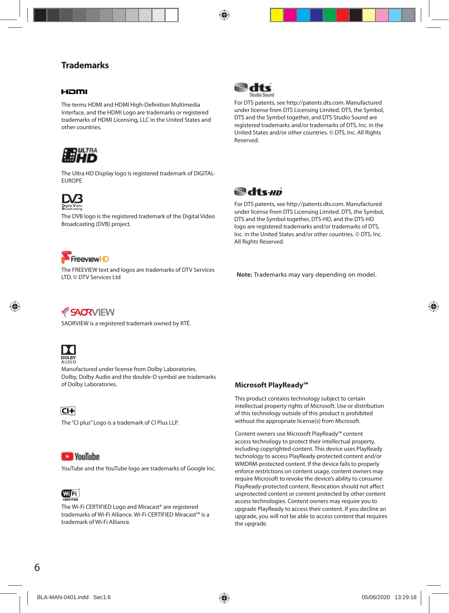### **Trademarks**

#### Haml

The terms HDMI and HDMI High-Definition Multimedia Interface, and the HDMI Logo are trademarks or registered trademarks of HDMI Licensing, LLC in the United States and other countries.



The Ultra HD Display logo is registered trademark of DIGITAL-EUROPE



The DVB logo is the registered trademark of the Digital Video Broadcasting (DVB) project.



For DTS patents, see http://patents.dts.com. Manufactured under license from DTS Licensing Limited. DTS, the Symbol, DTS and the Symbol together, and DTS Studio Sound are registered trademarks and/or trademarks of DTS, Inc. in the United States and/or other countries. © DTS, Inc. All Rights Reserved.



For DTS patents, see http://patents.dts.com. Manufactured under license from DTS Licensing Limited. DTS, the Symbol, DTS and the Symbol together, DTS-HD, and the DTS-HD logo are registered trademarks and/or trademarks of DTS, Inc. in the United States and/or other countries. © DTS, Inc. All Rights Reserved.



The FREEVIEW text and logos are trademarks of DTV Services LTD. © DTV Services Ltd

**Note:** Trademarks may vary depending on model.

*FSACRVIEW* 

SAORVIEW is a registered trademark owned by RTÉ.



Manufactured under license from Dolby Laboratories. Dolby, Dolby Audio and the double-D symbol are trademarks of Dolby Laboratories.

 $\overline{CI+}$ 

The "CI plus" Logo is a trademark of CI Plus LLP.

### **CE YouTube**

YouTube and the YouTube logo are trademarks of Google Inc.



The Wi-Fi CERTIFIED Logo and Miracast® are registered trademarks of Wi-Fi Alliance. Wi-Fi CERTIFIED Miracast™ is a trademark of Wi-Fi Alliance.

**Microsoft PlayReady™**

This product contains technology subject to certain intellectual property rights of Microsoft. Use or distribution of this technology outside of this product is prohibited without the appropriate license(s) from Microsoft.

Content owners use Microsoft PlayReady™ content access technology to protect their intellectual property, including copyrighted content. This device uses PlayReady technology to access PlayReady-protected content and/or WMDRM-protected content. If the device fails to properly enforce restrictions on content usage, content owners may require Microsoft to revoke the device's ability to consume PlayReady-protected content. Revocation should not affect unprotected content or content protected by other content access technologies. Content owners may require you to upgrade PlayReady to access their content. If you decline an upgrade, you will not be able to access content that requires the upgrade.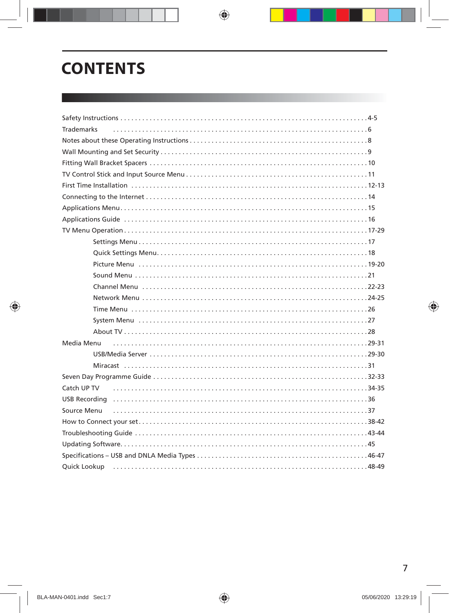## **CONTENTS**

| <b>Trademarks</b> |  |  |  |
|-------------------|--|--|--|
|                   |  |  |  |
|                   |  |  |  |
|                   |  |  |  |
|                   |  |  |  |
|                   |  |  |  |
|                   |  |  |  |
|                   |  |  |  |
|                   |  |  |  |
|                   |  |  |  |
|                   |  |  |  |
|                   |  |  |  |
|                   |  |  |  |
|                   |  |  |  |
|                   |  |  |  |
|                   |  |  |  |
|                   |  |  |  |
|                   |  |  |  |
|                   |  |  |  |
|                   |  |  |  |
| Media Menu        |  |  |  |
|                   |  |  |  |
|                   |  |  |  |
|                   |  |  |  |
| Catch UP TV       |  |  |  |
|                   |  |  |  |
| Source Menu       |  |  |  |
|                   |  |  |  |
|                   |  |  |  |
|                   |  |  |  |
|                   |  |  |  |
|                   |  |  |  |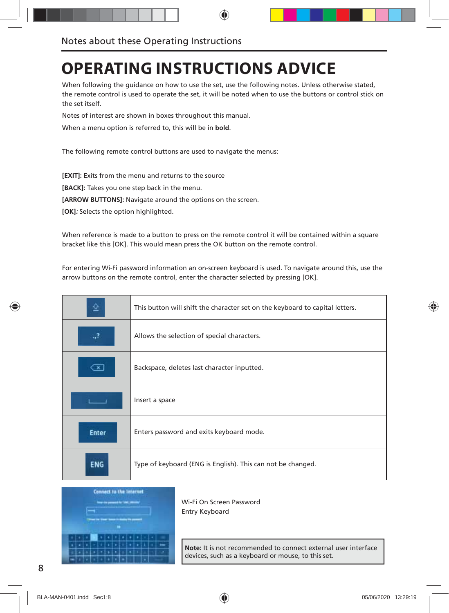## **OPERATING INSTRUCTIONS ADVICE**

When following the guidance on how to use the set, use the following notes. Unless otherwise stated, the remote control is used to operate the set, it will be noted when to use the buttons or control stick on the set itself.

Notes of interest are shown in boxes throughout this manual.

When a menu option is referred to, this will be in **bold**.

The following remote control buttons are used to navigate the menus:

**[EXIT]:** Exits from the menu and returns to the source

**[BACK]:** Takes you one step back in the menu.

**[ARROW BUTTONS]:** Navigate around the options on the screen.

**[OK]:** Selects the option highlighted.

When reference is made to a button to press on the remote control it will be contained within a square bracket like this [OK]. This would mean press the OK button on the remote control.

For entering Wi-Fi password information an on-screen keyboard is used. To navigate around this, use the arrow buttons on the remote control, enter the character selected by pressing [OK].

|              | This button will shift the character set on the keyboard to capital letters. |
|--------------|------------------------------------------------------------------------------|
| .,?          | Allows the selection of special characters.                                  |
| ×            | Backspace, deletes last character inputted.                                  |
|              | Insert a space                                                               |
| <b>Enter</b> | Enters password and exits keyboard mode.                                     |
| ENG          | Type of keyboard (ENG is English). This can not be changed.                  |



Wi-Fi On Screen Password Entry Keyboard

**Note:** It is not recommended to connect external user interface devices, such as a keyboard or mouse, to this set.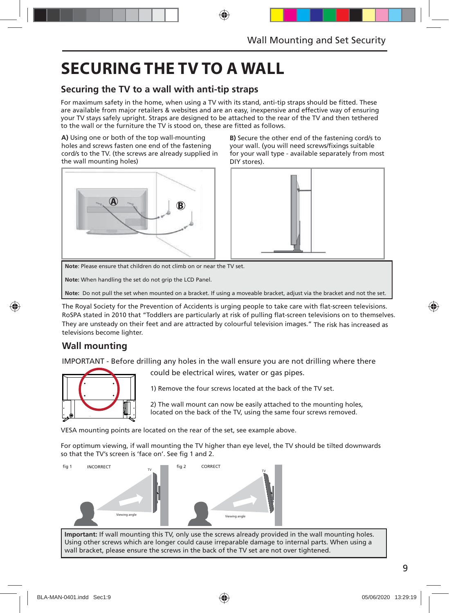## **SECURING THE TV TO A WALL**

### **Securing the TV to a wall with anti-tip straps**

For maximum safety in the home, when using a TV with its stand, anti-tip straps should be fitted. These are available from major retailers & websites and are an easy, inexpensive and effective way of ensuring your TV stays safely upright. Straps are designed to be attached to the rear of the TV and then tethered to the wall or the furniture the TV is stood on, these are fitted as follows.

**A)** Using one or both of the top wall-mounting holes and screws fasten one end of the fastening cord/s to the TV. (the screws are already supplied in the wall mounting holes)



**B)** Secure the other end of the fastening cord/s to your wall. (you will need screws/fixings suitable for your wall type - available separately from most DIY stores).



**Note**: Please ensure that children do not climb on or near the TV set.

**Note:** When handling the set do not grip the LCD Panel.

**Note:** Do not pull the set when mounted on a bracket. If using a moveable bracket, adjust via the bracket and not the set.

The Royal Society for the Prevention of Accidents is urging people to take care with flat-screen televisions. RoSPA stated in 2010 that "Toddlers are particularly at risk of pulling flat-screen televisions on to themselves. They are unsteady on their feet and are attracted by colourful television images." The risk has increased as televisions become lighter.

### **Wall mounting**

IMPORTANT - Before drilling any holes in the wall ensure you are not drilling where there



could be electrical wires, water or gas pipes.

1) Remove the four screws located at the back of the TV set.

2) The wall mount can now be easily attached to the mounting holes, located on the back of the TV, using the same four screws removed.

VESA mounting points are located on the rear of the set, see example above.

For optimum viewing, if wall mounting the TV higher than eye level, the TV should be tilted downwards so that the TV's screen is 'face on'. See fig 1 and 2.



**Important:** If wall mounting this TV, only use the screws already provided in the wall mounting holes. Using other screws which are longer could cause irreparable damage to internal parts. When using a wall bracket, please ensure the screws in the back of the TV set are not over tightened.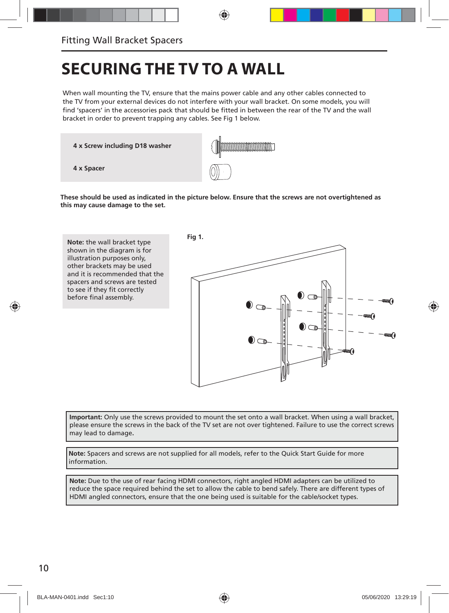## **SECURING THE TV TO A WALL**

When wall mounting the TV, ensure that the mains power cable and any other cables connected to the TV from your external devices do not interfere with your wall bracket. On some models, you will find 'spacers' in the accessories pack that should be fitted in between the rear of the TV and the wall bracket in order to prevent trapping any cables. See Fig 1 below.

**4 x Screw including D18 washer**



**These should be used as indicated in the picture below. Ensure that the screws are not overtightened as this may cause damage to the set.**



**Important:** Only use the screws provided to mount the set onto a wall bracket. When using a wall bracket, please ensure the screws in the back of the TV set are not over tightened. Failure to use the correct screws may lead to damage**.**

**Note:** Spacers and screws are not supplied for all models, refer to the Quick Start Guide for more information.

**Note:** Due to the use of rear facing HDMI connectors, right angled HDMI adapters can be utilized to reduce the space required behind the set to allow the cable to bend safely. There are different types of HDMI angled connectors, ensure that the one being used is suitable for the cable/socket types.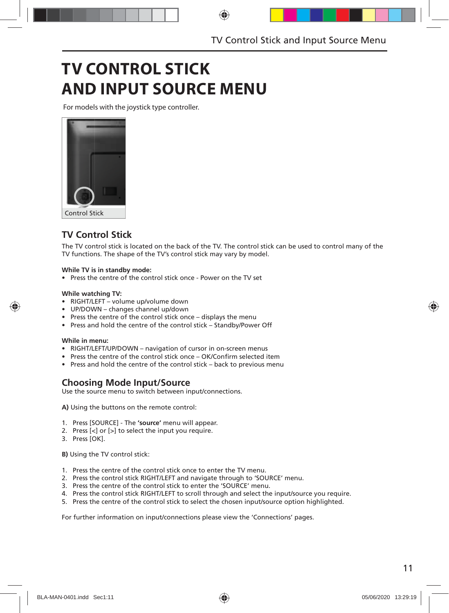## **TV CONTROL STICK AND INPUT SOURCE MENU**

For models with the joystick type controller.



### **TV Control Stick**

The TV control stick is located on the back of the TV. The control stick can be used to control many of the TV functions. The shape of the TV's control stick may vary by model.

#### **While TV is in standby mode:**

• Press the centre of the control stick once - Power on the TV set

#### **While watching TV:**

- RIGHT/LEFT volume up/volume down
- UP/DOWN changes channel up/down
- Press the centre of the control stick once displays the menu
- Press and hold the centre of the control stick Standby/Power Off

#### **While in menu:**

- RIGHT/LEFT/UP/DOWN navigation of cursor in on-screen menus
- Press the centre of the control stick once OK/Confirm selected item
- Press and hold the centre of the control stick back to previous menu

### **Choosing Mode Input/Source**

Use the source menu to switch between input/connections.

**A)** Using the buttons on the remote control:

- 1. Press [SOURCE] The **'source'** menu will appear.
- 2. Press [<] or [>] to select the input you require.
- 3. Press [OK].

**B)** Using the TV control stick:

- 1. Press the centre of the control stick once to enter the TV menu.
- 2. Press the control stick RIGHT/LEFT and navigate through to 'SOURCE' menu.
- 3. Press the centre of the control stick to enter the 'SOURCE' menu.
- 4. Press the control stick RIGHT/LEFT to scroll through and select the input/source you require.
- 5. Press the centre of the control stick to select the chosen input/source option highlighted.

For further information on input/connections please view the 'Connections' pages.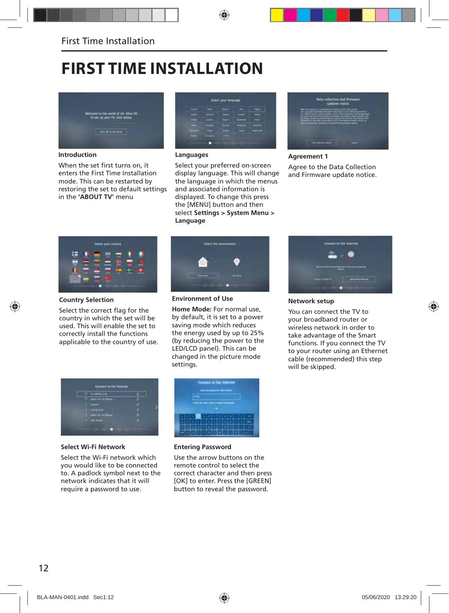## **FIRST TIME INSTALLATION**



**Introduction**

When the set first turns on, it enters the First Time Installation mode. This can be restarted by restoring the set to default settings in the **'ABOUT TV'** menu



#### **Languages**

Select your preferred on-screen display language. This will change the language in which the menus and associated information is displayed. To change this press the [MENU] button and then select **Settings > System Menu > Language**



#### **Agreement 1** Agree to the Data Collection and Firmware update notice.



#### **Country Selection**

Select the correct flag for the country in which the set will be used. This will enable the set to correctly install the functions applicable to the country of use.



**Environment of Use**

**Home Mode:** For normal use, by default, it is set to a power saving mode which reduces the energy used by up to 25% (by reducing the power to the LED/LCD panel). This can be changed in the picture mode settings.



**Select Wi-Fi Network**

Select the Wi-Fi network which you would like to be connected to. A padlock symbol next to the network indicates that it will require a password to use.



#### **Entering Password**

Use the arrow buttons on the remote control to select the correct character and then press [OK] to enter. Press the [GREEN] button to reveal the password.



**Network setup** 

You can connect the TV to your broadband router or wireless network in order to take advantage of the Smart functions. If you connect the TV to your router using an Ethernet cable (recommended) this step will be skipped.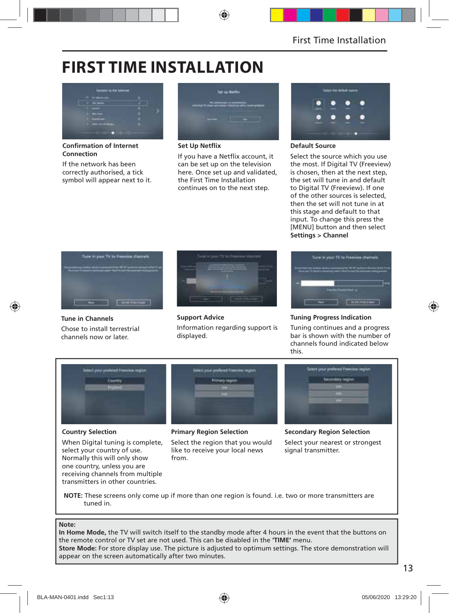## **FIRST TIME INSTALLATION**



**Confirmation of Internet Connection**

If the network has been correctly authorised, a tick symbol will appear next to it.



**Set Up Netflix** 

If you have a Netflix account, it can be set up on the television here. Once set up and validated, the First Time Installation continues on to the next step.



#### **Default Source**

Select the source which you use the most. If Digital TV (Freeview) is chosen, then at the next step, the set will tune in and default to Digital TV (Freeview). If one of the other sources is selected, then the set will not tune in at this stage and default to that input. To change this press the [MENU] button and then select **Settings > Channel**



**Tune in Channels** Chose to install terrestrial channels now or later.



**Support Advice** Information regarding support is displayed.



#### **Tuning Progress Indication**

Tuning continues and a progress bar is shown with the number of channels found indicated below this.



### **Country Selection**

When Digital tuning is complete, select your country of use. Normally this will only show one country, unless you are receiving channels from multiple transmitters in other countries.

#### **Primary Region Selection**

Select the region that you would like to receive your local news from.

**Secondary Region Selection** Select your nearest or strongest signal transmitter.

**NOTE:** These screens only come up if more than one region is found. i.e. two or more transmitters are tuned in.

#### **Note:**

**In Home Mode,** the TV will switch itself to the standby mode after 4 hours in the event that the buttons on the remote control or TV set are not used. This can be disabled in the **'TIME'** menu. **Store Mode:** For store display use. The picture is adjusted to optimum settings. The store demonstration will appear on the screen automatically after two minutes.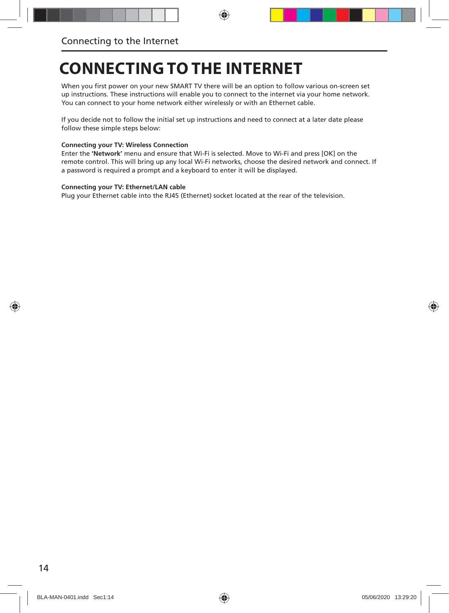## **CONNECTING TO THE INTERNET**

When you first power on your new SMART TV there will be an option to follow various on-screen set up instructions. These instructions will enable you to connect to the internet via your home network. You can connect to your home network either wirelessly or with an Ethernet cable.

If you decide not to follow the initial set up instructions and need to connect at a later date please follow these simple steps below:

#### **Connecting your TV: Wireless Connection**

Enter the **'Network'** menu and ensure that Wi-Fi is selected. Move to Wi-Fi and press [OK] on the remote control. This will bring up any local Wi-Fi networks, choose the desired network and connect. If a password is required a prompt and a keyboard to enter it will be displayed.

#### **Connecting your TV: Ethernet/LAN cable**

Plug your Ethernet cable into the RJ45 (Ethernet) socket located at the rear of the television.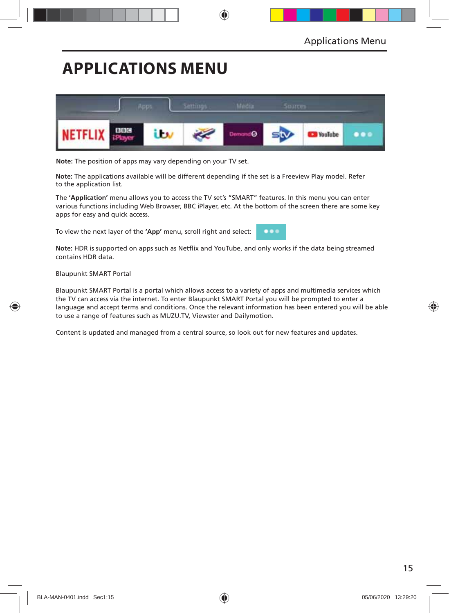## **APPLICATIONS MENU**



**Note:** The position of apps may vary depending on your TV set.

**Note:** The applications available will be different depending if the set is a Freeview Play model. Refer to the application list.

The **'Application'** menu allows you to access the TV set's "SMART" features. In this menu you can enter various functions including Web Browser, BBC iPlayer, etc. At the bottom of the screen there are some key apps for easy and quick access.

To view the next layer of the **'App'** menu, scroll right and select:



Note: HDR is supported on apps such as Netflix and YouTube, and only works if the data being streamed contains HDR data.

Blaupunkt SMART Portal

Blaupunkt SMART Portal is a portal which allows access to a variety of apps and multimedia services which the TV can access via the internet. To enter Blaupunkt SMART Portal you will be prompted to enter a language and accept terms and conditions. Once the relevant information has been entered you will be able to use a range of features such as MUZU.TV, Viewster and Dailymotion.

Content is updated and managed from a central source, so look out for new features and updates.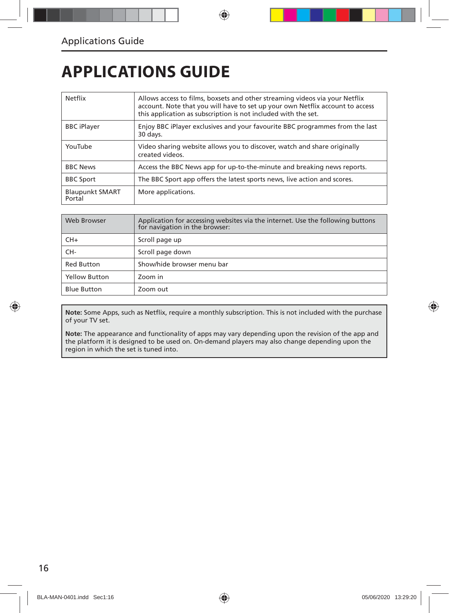## **APPLICATIONS GUIDE**

| Netflix                          | Allows access to films, boxsets and other streaming videos via your Netflix<br>account. Note that you will have to set up your own Netflix account to access<br>this application as subscription is not included with the set. |
|----------------------------------|--------------------------------------------------------------------------------------------------------------------------------------------------------------------------------------------------------------------------------|
| <b>BBC</b> iPlayer               | Enjoy BBC iPlayer exclusives and your favourite BBC programmes from the last<br>30 days.                                                                                                                                       |
| YouTube                          | Video sharing website allows you to discover, watch and share originally<br>created videos.                                                                                                                                    |
| <b>BBC News</b>                  | Access the BBC News app for up-to-the-minute and breaking news reports.                                                                                                                                                        |
| <b>BBC Sport</b>                 | The BBC Sport app offers the latest sports news, live action and scores.                                                                                                                                                       |
| <b>Blaupunkt SMART</b><br>Portal | More applications.                                                                                                                                                                                                             |

| Web Browser          | Application for accessing websites via the internet. Use the following buttons<br>for navigation in the browser: |
|----------------------|------------------------------------------------------------------------------------------------------------------|
| $CH+$                | Scroll page up                                                                                                   |
| CH-                  | Scroll page down                                                                                                 |
| <b>Red Button</b>    | Show/hide browser menu bar                                                                                       |
| <b>Yellow Button</b> | Zoom in                                                                                                          |
| <b>Blue Button</b>   | Zoom out                                                                                                         |

Note: Some Apps, such as Netflix, require a monthly subscription. This is not included with the purchase of your TV set.

**Note:** The appearance and functionality of apps may vary depending upon the revision of the app and the platform it is designed to be used on. On-demand players may also change depending upon the region in which the set is tuned into.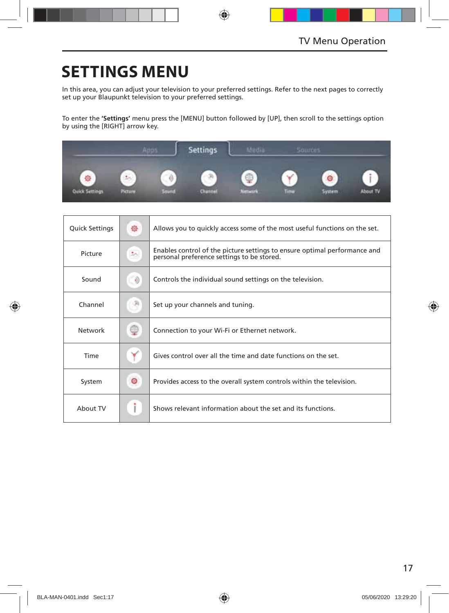## **SETTINGS MENU**

In this area, you can adjust your television to your preferred settings. Refer to the next pages to correctly set up your Blaupunkt television to your preferred settings.

To enter the **'Settings'** menu press the [MENU] button followed by [UP], then scroll to the settings option by using the [RIGHT] arrow key.



| <b>Quick Settings</b> | 徐       | Allows you to quickly access some of the most useful functions on the set.                                              |
|-----------------------|---------|-------------------------------------------------------------------------------------------------------------------------|
| Picture               | 圳       | Enables control of the picture settings to ensure optimal performance and<br>personal preference settings to be stored. |
| Sound                 | $\circ$ | Controls the individual sound settings on the television.                                                               |
| Channel               |         | Set up your channels and tuning.                                                                                        |
| Network               | œ       | Connection to your Wi-Fi or Ethernet network.                                                                           |
| Time                  |         | Gives control over all the time and date functions on the set.                                                          |
| System                | ◉       | Provides access to the overall system controls within the television.                                                   |
| About TV              |         | Shows relevant information about the set and its functions.                                                             |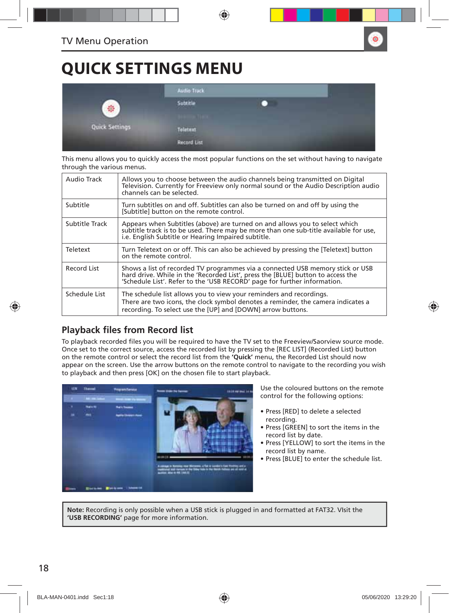## **QUICK SETTINGS MENU**

|                | <b>Audio Track</b>                            |  |  |  |
|----------------|-----------------------------------------------|--|--|--|
| Ŵ.             | Subtitle<br><b>Carl Carl Corp.</b>            |  |  |  |
| Quick Settings | Teletext                                      |  |  |  |
|                | <b>Record List</b><br><b><i>PATAMATER</i></b> |  |  |  |

This menu allows you to quickly access the most popular functions on the set without having to navigate through the various menus.

| Audio Track    | Allows vou to choose between the audio channels being transmitted on Digital<br>Television. Currently for Freeview only normal sound or the Audio Description audio<br>channels can be selected.                                              |
|----------------|-----------------------------------------------------------------------------------------------------------------------------------------------------------------------------------------------------------------------------------------------|
| Subtitle       | Turn subtitles on and off. Subtitles can also be turned on and off by using the<br>[Subtitle] button on the remote control.                                                                                                                   |
| Subtitle Track | Appears when Subtitles (above) are turned on and allows you to select which<br>subtitle track is to be used. There may be more than one sub-title available for use,<br>i.e. English Subtitle or Hearing Impaired subtitle.                   |
| Teletext       | Turn Teletext on or off. This can also be achieved by pressing the [Teletext] button<br>on the remote control.                                                                                                                                |
| Record List    | Shows a list of recorded TV programmes via a connected USB memory stick or USB<br>hard drive. While in the 'Recorded List', press the [BLUE] button to access the<br>'Schedule List'. Refer to the 'USB RECORD' page for further information. |
| Schedule List  | The schedule list allows you to view your reminders and recordings.<br>There are two icons, the clock symbol denotes a reminder, the camera indicates a<br>recording. To select use the [UP] and [DOWN] arrow buttons.                        |

### **Playback files from Record list**

To playback recorded files you will be required to have the TV set to the Freeview/Saorview source mode. Once set to the correct source, access the recorded list by pressing the [REC LIST] (Recorded List) button on the remote control or select the record list from the **'Quick'** menu, the Recorded List should now appear on the screen. Use the arrow buttons on the remote control to navigate to the recording you wish to playback and then press [OK] on the chosen file to start playback.



Use the coloured buttons on the remote control for the following options:

- Press [RED] to delete a selected recording.
- Press [GREEN] to sort the items in the record list by date.
- Press [YELLOW] to sort the items in the record list by name.
- Press [BLUE] to enter the schedule list.

**Note:** Recording is only possible when a USB stick is plugged in and formatted at FAT32. VIsit the **'USB RECORDING'** page for more information.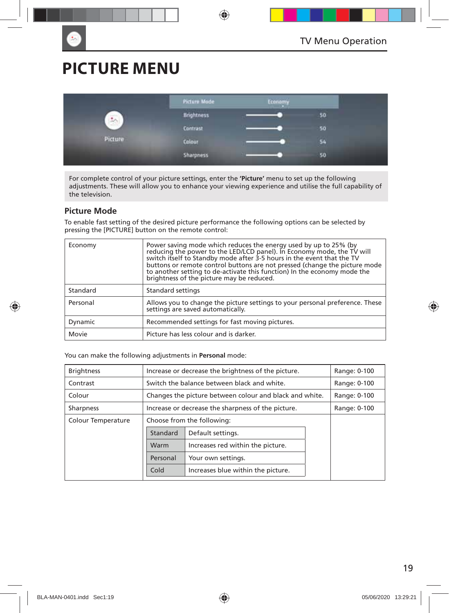## **PICTURE MENU**

|                      | Picture Mode     | Economy |    |
|----------------------|------------------|---------|----|
| $\frac{1}{\sqrt{2}}$ | Brightness       |         | 50 |
|                      | <b>Contrast</b>  |         | 50 |
| Picture              | Colour           |         | 54 |
|                      | <b>Sharpness</b> |         | 50 |

For complete control of your picture settings, enter the **'Picture'** menu to set up the following adjustments. These will allow you to enhance your viewing experience and utilise the full capability of the television.

#### **Picture Mode**

To enable fast setting of the desired picture performance the following options can be selected by pressing the [PICTURE] button on the remote control:

| Economy  | Power saving mode which reduces the energy used by up to 25% (by<br>reducing the power to the LED/LCD panel). In Economy mode, the TV will<br>switch itself to Standby mode after 3-5 hours in the event that the TV<br>buttons or remote control buttons are not pressed (change the picture mode to another setting to de-activate this function) In the economy mode the<br>brightness of the picture may be reduced. |
|----------|--------------------------------------------------------------------------------------------------------------------------------------------------------------------------------------------------------------------------------------------------------------------------------------------------------------------------------------------------------------------------------------------------------------------------|
| Standard | Standard settings                                                                                                                                                                                                                                                                                                                                                                                                        |
| Personal | Allows you to change the picture settings to your personal preference. These<br>settings are saved automatically.                                                                                                                                                                                                                                                                                                        |
| Dynamic  | Recommended settings for fast moving pictures.                                                                                                                                                                                                                                                                                                                                                                           |
| Movie    | Picture has less colour and is darker.                                                                                                                                                                                                                                                                                                                                                                                   |

You can make the following adjustments in **Personal** mode:

| <b>Brightness</b>  | Increase or decrease the brightness of the picture.     | Range: 0-100                                |  |  |
|--------------------|---------------------------------------------------------|---------------------------------------------|--|--|
| Contrast           |                                                         | Switch the balance between black and white. |  |  |
| Colour             | Changes the picture between colour and black and white. | Range: 0-100                                |  |  |
| <b>Sharpness</b>   | Increase or decrease the sharpness of the picture.      | Range: 0-100                                |  |  |
| Colour Temperature | Choose from the following:                              |                                             |  |  |
|                    | Standard                                                | Default settings.                           |  |  |
|                    | Warm                                                    | Increases red within the picture.           |  |  |
|                    | Personal                                                | Your own settings.                          |  |  |
|                    | Cold                                                    | Increases blue within the picture.          |  |  |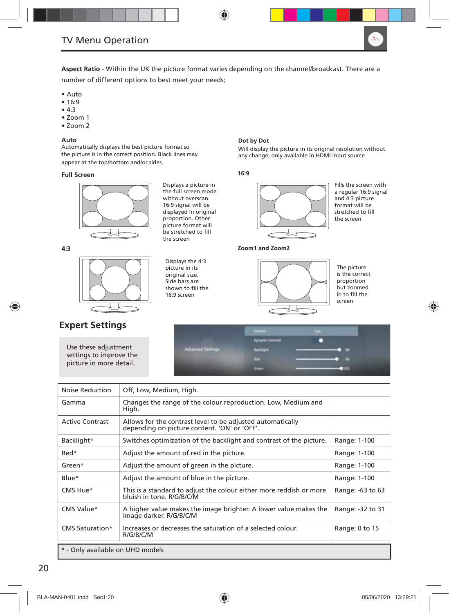

**Aspect Ratio** - Within the UK the picture format varies depending on the channel/broadcast. There are a number of different options to best meet your needs;

- Auto
- 16:9
- 4:3
- Zoom 1
- Zoom 2

#### **Auto**

Automatically displays the best picture format so the picture is in the correct position. Black lines may appear at the top/bottom and/or sides.

#### **Full Screen**



Displays a picture in the full screen mode without overscan. 16:9 signal will be displayed in original proportion. Other picture format will be stretched to fill the screen

Displays the 4:3 picture in its original size. Side bars are shown to fill the 16:9 screen

**4:3**



### **Expert Settings**

Use these adjustment settings to improve the picture in more detail.

#### **Dot by Dot**

Will display the picture in its original resolution without any change, only available in HDMI input source

#### **16:9**



Fills the screen with a regular 16:9 signal and 4:3 picture format will be stretched to fill the screen

**Zoom1 and Zoom2**



The picture is the correct proportion but zoomed in to fill the screen



| Noise Reduction                  | Off, Low, Medium, High.                                                                                    |                  |  |
|----------------------------------|------------------------------------------------------------------------------------------------------------|------------------|--|
| Gamma                            | Changes the range of the colour reproduction. Low, Medium and<br>High.                                     |                  |  |
| <b>Active Contrast</b>           | Allows for the contrast level to be adjusted automatically<br>depending on picture content. 'ON' or 'OFF'. |                  |  |
| Backlight*                       | Switches optimization of the backlight and contrast of the picture.                                        | Range: 1-100     |  |
| Red*                             | Adjust the amount of red in the picture.                                                                   | Range: 1-100     |  |
| Green*                           | Adjust the amount of green in the picture.                                                                 | Range: 1-100     |  |
| Blue*                            | Adjust the amount of blue in the picture.                                                                  | Range: 1-100     |  |
| CMS Hue*                         | This is a standard to adjust the colour either more reddish or more<br>bluish in tone. R/G/B/C/M           | Range: -63 to 63 |  |
| CMS Value*                       | A higher value makes the image brighter. A lower value makes the<br>image darker. R/G/B/C/M                | Range: -32 to 31 |  |
| CMS Saturation*                  | Increases or decreases the saturation of a selected colour.<br>R/G/B/C/M                                   | Range: 0 to 15   |  |
| * - Only available on UHD models |                                                                                                            |                  |  |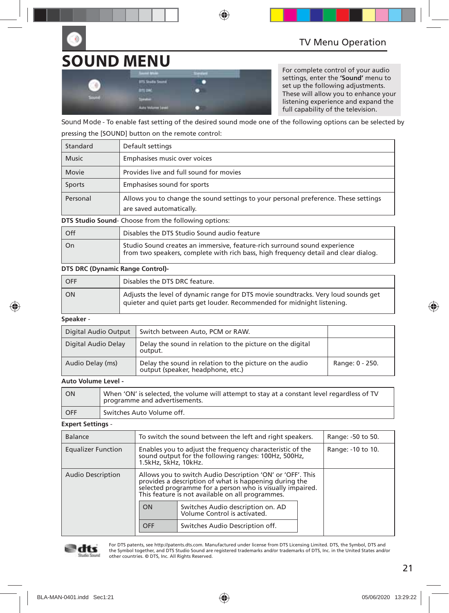# **SOUND MENU**

|       | <b>Search Union</b><br>              | -<br>≖ |  |
|-------|--------------------------------------|--------|--|
|       | <b>BTS Studio Sound</b>              |        |  |
|       | <b>BITLON</b>                        |        |  |
| South | <b>The Color</b>                     |        |  |
|       | <b>Auto Volume Linei</b><br>________ |        |  |

For complete control of your audio settings, enter the **'Sound'** menu to set up the following adjustments. These will allow you to enhance your listening experience and expand the full capability of the television.

**Sound Mode** - To enable fast setting of the desired sound mode one of the following options can be selected by pressing the [SOUND] button on the remote control:

| Standard     | Default settings                                                                                                |
|--------------|-----------------------------------------------------------------------------------------------------------------|
| <b>Music</b> | Emphasises music over voices                                                                                    |
| Movie        | Provides live and full sound for movies                                                                         |
| Sports       | Emphasises sound for sports                                                                                     |
| Personal     | Allows you to change the sound settings to your personal preference. These settings<br>are saved automatically. |

**DTS Studio Sound**- Choose from the following options:

| l Off | Disables the DTS Studio Sound audio feature                                                                                                                      |
|-------|------------------------------------------------------------------------------------------------------------------------------------------------------------------|
| l On  | Studio Sound creates an immersive, feature-rich surround sound experience<br>from two speakers, complete with rich bass, high frequency detail and clear dialog. |

#### **DTS DRC (Dynamic Range Control)-**

| OFF       | Disables the DTS DRC feature.                                                                                                                                 |
|-----------|---------------------------------------------------------------------------------------------------------------------------------------------------------------|
| <b>ON</b> | Adjusts the level of dynamic range for DTS movie soundtracks. Very loud sounds get<br>quieter and quiet parts get louder. Recommended for midnight listening. |

#### **Speaker** -

| Digital Audio Output | Switch between Auto, PCM or RAW.                                                             |                 |
|----------------------|----------------------------------------------------------------------------------------------|-----------------|
| Digital Audio Delay  | Delay the sound in relation to the picture on the digital<br>output.                         |                 |
| Audio Delay (ms)     | Delay the sound in relation to the picture on the audio<br>output (speaker, headphone, etc.) | Range: 0 - 250. |

#### **Auto Volume Level -**

| I ON  | When 'ON' is selected, the volume will attempt to stay at a constant level regardless of TV<br>programme and advertisements. |
|-------|------------------------------------------------------------------------------------------------------------------------------|
| L OFF | Switches Auto Volume off.                                                                                                    |

#### **Expert Settings** -

| <b>Balance</b>            | To switch the sound between the left and right speakers.                                                                                                                                                                              |                                 |                   | Range: -50 to 50. |
|---------------------------|---------------------------------------------------------------------------------------------------------------------------------------------------------------------------------------------------------------------------------------|---------------------------------|-------------------|-------------------|
| <b>Equalizer Function</b> | Enables you to adjust the frequency characteristic of the<br>sound output for the following ranges: 100Hz, 500Hz,<br>1.5kHz, 5kHz, 10kHz.                                                                                             |                                 | Range: -10 to 10. |                   |
| <b>Audio Description</b>  | Allows you to switch Audio Description 'ON' or 'OFF'. This<br>provides a description of what is happening during the<br>selected programme for a person who is visually impaired.<br>This feature is not available on all programmes. |                                 |                   |                   |
|                           | Switches Audio description on. AD<br>ON<br>Volume Control is activated.                                                                                                                                                               |                                 |                   |                   |
|                           | OFF                                                                                                                                                                                                                                   | Switches Audio Description off. |                   |                   |



For DTS patents, see http://patents.dts.com. Manufactured under license from DTS Licensing Limited. DTS, the Symbol, DTS and the Symbol together, and DTS Studio Sound are registered trademarks and/or trademarks of DTS, Inc. in the United States and/or other countries. © DTS, Inc. All Rights Reserved.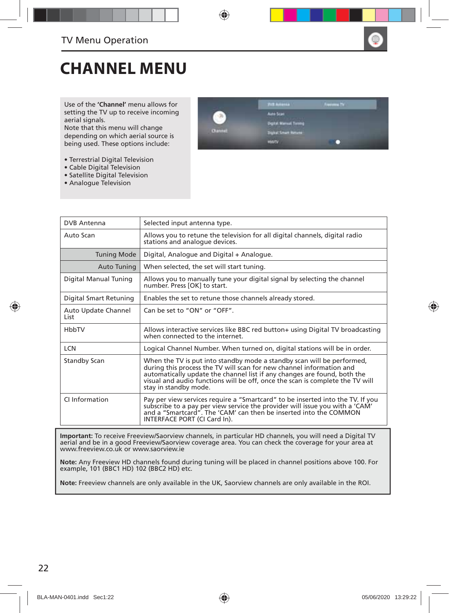

## **CHANNEL MENU**

Use of the **'Channel'** menu allows for setting the TV up to receive incoming aerial signals.

Note that this menu will change depending on which aerial source is being used. These options include:

- Terrestrial Digital Television
- Cable Digital Television
- Satellite Digital Television
- Analogue Television



| <b>DVB</b> Antenna           | Selected input antenna type.                                                                                                                                                                                                                                                                                                         |
|------------------------------|--------------------------------------------------------------------------------------------------------------------------------------------------------------------------------------------------------------------------------------------------------------------------------------------------------------------------------------|
| Auto Scan                    | Allows you to retune the television for all digital channels, digital radio<br>stations and analogue devices.                                                                                                                                                                                                                        |
| <b>Tuning Mode</b>           | Digital, Analogue and Digital + Analogue.                                                                                                                                                                                                                                                                                            |
| Auto Tuning                  | When selected, the set will start tuning.                                                                                                                                                                                                                                                                                            |
| Digital Manual Tuning        | Allows you to manually tune your digital signal by selecting the channel<br>number. Press [OK] to start.                                                                                                                                                                                                                             |
| Digital Smart Retuning       | Enables the set to retune those channels already stored.                                                                                                                                                                                                                                                                             |
| Auto Update Channel<br>l ist | Can be set to "ON" or "OFF".                                                                                                                                                                                                                                                                                                         |
| HbbTV                        | Allows interactive services like BBC red button+ using Digital TV broadcasting<br>when connected to the internet.                                                                                                                                                                                                                    |
| <b>LCN</b>                   | Logical Channel Number. When turned on, digital stations will be in order.                                                                                                                                                                                                                                                           |
| <b>Standby Scan</b>          | When the TV is put into standby mode a standby scan will be performed,<br>during this process the TV will scan for new channel information and<br>automatically update the channel list if any changes are found, both the<br>visual and audio functions will be off, once the scan is complete the TV will<br>stay in standby mode. |
| CI Information               | Pay per view services require a "Smartcard" to be inserted into the TV. If you<br>subscribe to a pay per view service the provider will issue you with a 'CAM'<br>and a "Smartcard". The 'CAM' can then be inserted into the COMMON<br>INTERFACE PORT (CI Card In).                                                                  |

**Important:** To receive Freeview/Saorview channels, in particular HD channels, you will need a Digital TV aerial and be in a good Freeview/Saorview coverage area. You can check the coverage for your area at www.freeview.co.uk or www.saorview.ie

**Note:** Any Freeview HD channels found during tuning will be placed in channel positions above 100. For example, 101 (BBC1 HD) 102 (BBC2 HD) etc.

**Note:** Freeview channels are only available in the UK, Saorview channels are only available in the ROI.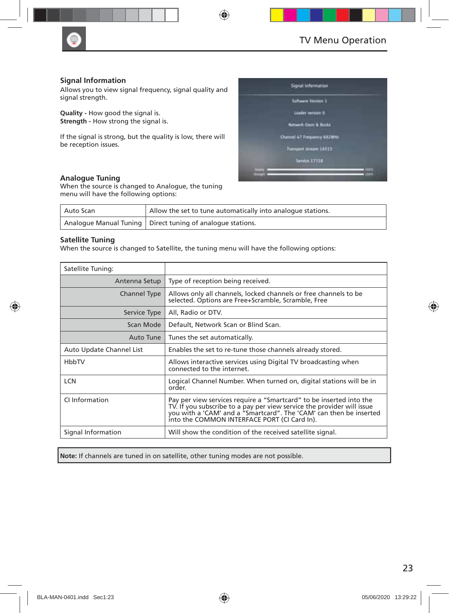

#### **Signal Information**

Allows you to view signal frequency, signal quality and signal strength.

**Quality -** How good the signal is. **Strength - How strong the signal is.** 

If the signal is strong, but the quality is low, there will be reception issues.

#### **Analogue Tuning**

When the source is changed to Analogue, the tuning menu will have the following options:

| Auto Scan | Allow the set to tune automatically into analogue stations.  |
|-----------|--------------------------------------------------------------|
|           | Analogue Manual Tuning   Direct tuning of analogue stations. |

#### **Satellite Tuning**

When the source is changed to Satellite, the tuning menu will have the following options:

| Satellite Tuning:        |                                                                                                                                                                                                                                                                     |
|--------------------------|---------------------------------------------------------------------------------------------------------------------------------------------------------------------------------------------------------------------------------------------------------------------|
| Antenna Setup            | Type of reception being received.                                                                                                                                                                                                                                   |
| Channel Type             | Allows only all channels, locked channels or free channels to be<br>selected. Options are Free+Scramble, Scramble, Free                                                                                                                                             |
| Service Type             | All, Radio or DTV.                                                                                                                                                                                                                                                  |
| Scan Mode                | Default, Network Scan or Blind Scan.                                                                                                                                                                                                                                |
| Auto Tune                | Tunes the set automatically.                                                                                                                                                                                                                                        |
| Auto Update Channel List | Enables the set to re-tune those channels already stored.                                                                                                                                                                                                           |
| HbbTV                    | Allows interactive services using Digital TV broadcasting when<br>connected to the internet.                                                                                                                                                                        |
| <b>LCN</b>               | Logical Channel Number. When turned on, digital stations will be in<br>order.                                                                                                                                                                                       |
| CI Information           | Pay per view services require a "Smartcard" to be inserted into the<br>TV. If you subscribe to a pay per view service the provider will issue<br>you with a 'CAM' and a "Smartcard". The 'CAM' can then be inserted<br>into the COMMON INTERFACE PORT (CI Card In). |
| Signal Information       | Will show the condition of the received satellite signal.                                                                                                                                                                                                           |

**Note:** If channels are tuned in on satellite, other tuning modes are not possible.



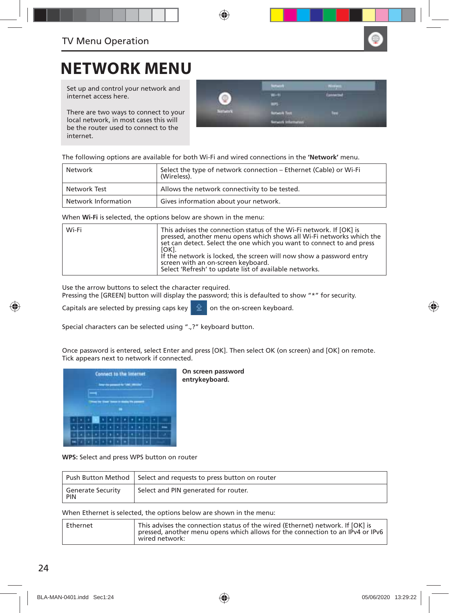

### **NETWORK MENU**

Set up and control your network and internet access here.

There are two ways to connect to your local network, in most cases this will be the router used to connect to the internet.

|                          | <b>STATISTICS</b>  |                        |
|--------------------------|--------------------|------------------------|
|                          | m                  | <b>THE R. P. LEWIS</b> |
|                          | ٠                  |                        |
| <b>Contract Contract</b> | <b>Utwirk Tast</b> | ш                      |
|                          | emates?            |                        |

The following options are available for both Wi-Fi and wired connections in the **'Network'** menu.

| Network             | Select the type of network connection – Ethernet (Cable) or Wi-Fi<br>(Wireless). |
|---------------------|----------------------------------------------------------------------------------|
| Network Test        | Allows the network connectivity to be tested.                                    |
| Network Information | Gives information about your network.                                            |

When **Wi-Fi** is selected, the options below are shown in the menu:

| Wi-Fi | This advises the connection status of the Wi-Fi network. If [OK] is<br>pressed, another menu opens which shows all Wi-Fi networks which the<br>set can detect. Select the one which you want to connect to and press<br>[OK].<br>If the network is locked, the screen will now show a password entry<br>screen with an on-screen keyboard. |
|-------|--------------------------------------------------------------------------------------------------------------------------------------------------------------------------------------------------------------------------------------------------------------------------------------------------------------------------------------------|
|       | Select 'Refresh' to update list of available networks.                                                                                                                                                                                                                                                                                     |

Use the arrow buttons to select the character required.

Pressing the [GREEN] button will display the password; this is defaulted to show "\*" for security.

Capitals are selected by pressing caps key  $\|\hat{\mathbf{\Omega}}\|$  on the on-screen keyboard.

Special characters can be selected using ".,?" keyboard button.

Once password is entered, select Enter and press [OK]. Then select OK (on screen) and [OK] on remote. Tick appears next to network if connected.



**On screen password entrykeyboard.**

**WPS:** Select and press WPS button on router

|                                        | Push Button Method Select and requests to press button on router |
|----------------------------------------|------------------------------------------------------------------|
| <b>Generate Security</b><br><b>PIN</b> | Select and PIN generated for router.                             |

When Ethernet is selected, the options below are shown in the menu:

| wired network: | Ethernet | This advises the connection status of the wired (Ethernet) network. If [OK] is<br>pressed, another menu opens which allows for the connection to an IPv4 or IPv6 |
|----------------|----------|------------------------------------------------------------------------------------------------------------------------------------------------------------------|
|----------------|----------|------------------------------------------------------------------------------------------------------------------------------------------------------------------|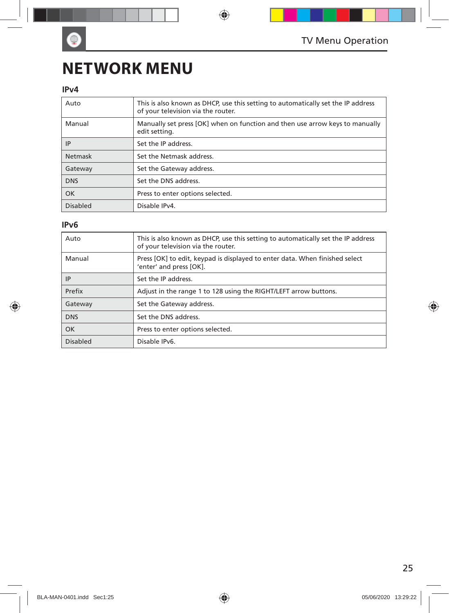## **NETWORK MENU**

### **IPv4**

 $\bullet$ 

| Auto            | This is also known as DHCP, use this setting to automatically set the IP address<br>of your television via the router. |
|-----------------|------------------------------------------------------------------------------------------------------------------------|
| Manual          | Manually set press [OK] when on function and then use arrow keys to manually<br>edit setting.                          |
| IP              | Set the IP address.                                                                                                    |
| Netmask         | Set the Netmask address.                                                                                               |
| Gateway         | Set the Gateway address.                                                                                               |
| <b>DNS</b>      | Set the DNS address.                                                                                                   |
| <b>OK</b>       | Press to enter options selected.                                                                                       |
| <b>Disabled</b> | Disable IPv4.                                                                                                          |

### **IPv6**

| Auto       | This is also known as DHCP, use this setting to automatically set the IP address<br>of your television via the router. |
|------------|------------------------------------------------------------------------------------------------------------------------|
| Manual     | Press [OK] to edit, keypad is displayed to enter data. When finished select<br>'enter' and press [OK].                 |
| ΙP         | Set the IP address.                                                                                                    |
| Prefix     | Adjust in the range 1 to 128 using the RIGHT/LEFT arrow buttons.                                                       |
| Gateway    | Set the Gateway address.                                                                                               |
| <b>DNS</b> | Set the DNS address.                                                                                                   |
| OK         | Press to enter options selected.                                                                                       |
| Disabled   | Disable IPv6.                                                                                                          |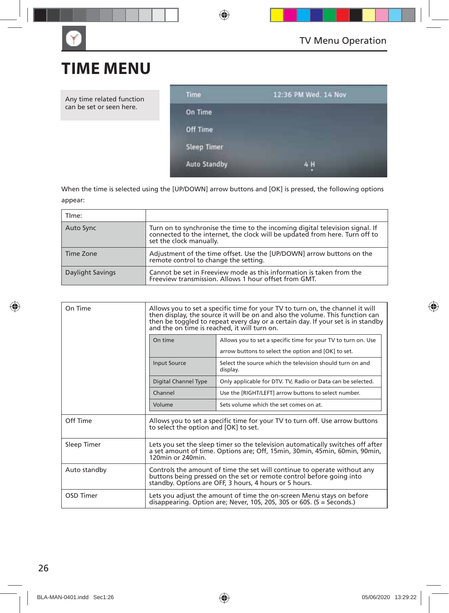## **TIME MENU**

Any time related function can be set or seen here.



When the time is selected using the [UP/DOWN] arrow buttons and [OK] is pressed, the following options appear:

| TIme:            |                                                                                                                                                                                      |
|------------------|--------------------------------------------------------------------------------------------------------------------------------------------------------------------------------------|
| Auto Sync        | Turn on to synchronise the time to the incoming digital television signal. If connected to the internet, the clock will be updated from here. Turn off to<br>set the clock manually. |
| Time Zone        | Adjustment of the time offset. Use the [UP/DOWN] arrow buttons on the<br>remote control to change the setting.                                                                       |
| Daylight Savings | Cannot be set in Freeview mode as this information is taken from the<br>Freeview transmission. Allows 1 hour offset from GMT.                                                        |

| On Time      | Allows you to set a specific time for your TV to turn on, the channel it will<br>then display, the source it will be on and also the volume. This function can<br>then be toggled to repeat every day or a certain day. If your set is in standby<br>and the on time is reached, it will turn on. |                                                                                                                                                         |  |
|--------------|---------------------------------------------------------------------------------------------------------------------------------------------------------------------------------------------------------------------------------------------------------------------------------------------------|---------------------------------------------------------------------------------------------------------------------------------------------------------|--|
|              | On time                                                                                                                                                                                                                                                                                           | Allows you to set a specific time for your TV to turn on. Use<br>arrow buttons to select the option and [OK] to set.                                    |  |
|              | <b>Input Source</b>                                                                                                                                                                                                                                                                               | Select the source which the television should turn on and<br>display.                                                                                   |  |
|              | Digital Channel Type                                                                                                                                                                                                                                                                              | Only applicable for DTV. TV, Radio or Data can be selected.                                                                                             |  |
|              | Channel                                                                                                                                                                                                                                                                                           | Use the [RIGHT/LEFT] arrow buttons to select number.                                                                                                    |  |
|              | Volume                                                                                                                                                                                                                                                                                            | Sets volume which the set comes on at.                                                                                                                  |  |
| Off Time     | Allows you to set a specific time for your TV to turn off. Use arrow buttons<br>to select the option and [OK] to set.                                                                                                                                                                             |                                                                                                                                                         |  |
| Sleep Timer  | Lets you set the sleep timer so the television automatically switches off after<br>a set amount of time. Options are: Off, 15min, 30min, 45min, 60min, 90min,<br>$120$ min or $240$ min                                                                                                           |                                                                                                                                                         |  |
| Auto standby | Controls the amount of time the set will continue to operate without any<br>buttons being pressed on the set or remote control before going into<br>standby. Options are OFF, 3 hours, 4 hours or 5 hours.                                                                                        |                                                                                                                                                         |  |
| OSD Timer    |                                                                                                                                                                                                                                                                                                   | Lets you adjust the amount of time the on-screen Menu stays on before<br>disappearing. Option are; Never, 10S, 20S, 30S or 60S. $(S = \text{seconds.})$ |  |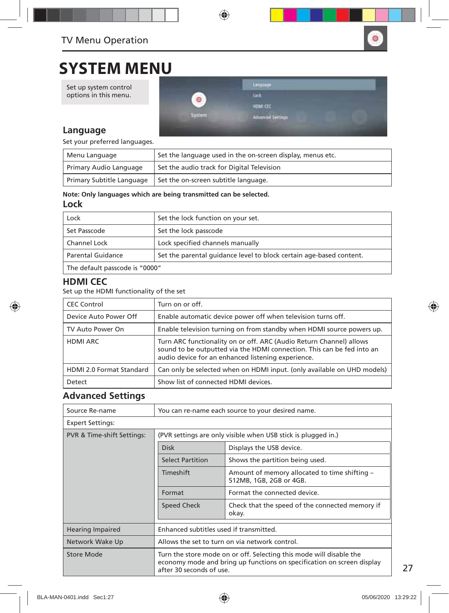

### **SYSTEM MENU**

Set up system control options in this menu.



### **Language**

Set your preferred languages.

| Menu Language             | Set the language used in the on-screen display, menus etc. |
|---------------------------|------------------------------------------------------------|
| Primary Audio Language    | Set the audio track for Digital Television                 |
| Primary Subtitle Language | Set the on-screen subtitle language.                       |

#### **Note: Only languages which are being transmitted can be selected.**

### **Lock**

| Lock                           | Set the lock function on your set.                                  |
|--------------------------------|---------------------------------------------------------------------|
| Set Passcode                   | Set the lock passcode                                               |
| Channel Lock                   | Lock specified channels manually                                    |
| Parental Guidance              | Set the parental quidance level to block certain age-based content. |
| The default passcode is "0000" |                                                                     |

### **HDMI CEC**

Set up the HDMI functionality of the set

| <b>CEC Control</b>              | Turn on or off.                                                                                                                                                                                     |
|---------------------------------|-----------------------------------------------------------------------------------------------------------------------------------------------------------------------------------------------------|
| Device Auto Power Off           | Enable automatic device power off when television turns off.                                                                                                                                        |
| TV Auto Power On                | Enable television turning on from standby when HDMI source powers up.                                                                                                                               |
| <b>HDMI ARC</b>                 | Turn ARC functionality on or off. ARC (Audio Return Channel) allows<br>sound to be outputted via the HDMI connection. This can be fed into an<br>audio device for an enhanced listening experience. |
| <b>HDMI 2.0 Format Standard</b> | Can only be selected when on HDMI input. (only available on UHD models)                                                                                                                             |
| Detect                          | Show list of connected HDMI devices.                                                                                                                                                                |

### **Advanced Settings**

| Source Re-name             | You can re-name each source to your desired name.                                                                                                                         |                                                                          |  |
|----------------------------|---------------------------------------------------------------------------------------------------------------------------------------------------------------------------|--------------------------------------------------------------------------|--|
| <b>Expert Settings:</b>    |                                                                                                                                                                           |                                                                          |  |
| PVR & Time-shift Settings: | (PVR settings are only visible when USB stick is plugged in.)                                                                                                             |                                                                          |  |
|                            | <b>Disk</b>                                                                                                                                                               | Displays the USB device.                                                 |  |
|                            | <b>Select Partition</b>                                                                                                                                                   | Shows the partition being used.                                          |  |
|                            | Timeshift                                                                                                                                                                 | Amount of memory allocated to time shifting -<br>512MB, 1GB, 2GB or 4GB. |  |
|                            | Format                                                                                                                                                                    | Format the connected device.                                             |  |
|                            | Speed Check                                                                                                                                                               | Check that the speed of the connected memory if<br>okay.                 |  |
| <b>Hearing Impaired</b>    | Enhanced subtitles used if transmitted.                                                                                                                                   |                                                                          |  |
| Network Wake Up            | Allows the set to turn on via network control.                                                                                                                            |                                                                          |  |
| Store Mode                 | Turn the store mode on or off. Selecting this mode will disable the<br>economy mode and bring up functions on specification on screen display<br>after 30 seconds of use. |                                                                          |  |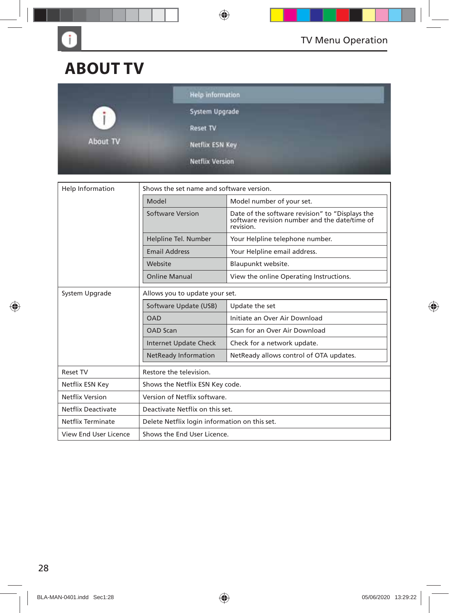

## **ABOUT TV**

G

|              | <b>Help information</b>                                              |  |
|--------------|----------------------------------------------------------------------|--|
| $\mathbf{I}$ | System Upgrade                                                       |  |
| Æ            | <b>Reset TV</b>                                                      |  |
| About TV     | Netflix ESN Key                                                      |  |
|              | <b>Netflix Version</b><br><b>All Constitutions and Constitutions</b> |  |

| Shows the set name and software version.<br>Help Information |                                               |                                                                                                               |  |
|--------------------------------------------------------------|-----------------------------------------------|---------------------------------------------------------------------------------------------------------------|--|
|                                                              | Model                                         | Model number of your set.                                                                                     |  |
|                                                              | <b>Software Version</b>                       | Date of the software revision" to "Displays the<br>software revision number and the date/time of<br>revision. |  |
|                                                              | Helpline Tel. Number                          | Your Helpline telephone number.                                                                               |  |
|                                                              | <b>Email Address</b>                          | Your Helpline email address.                                                                                  |  |
|                                                              | Website                                       | Blaupunkt website.                                                                                            |  |
|                                                              | <b>Online Manual</b>                          | View the online Operating Instructions.                                                                       |  |
| System Upgrade                                               | Allows you to update your set.                |                                                                                                               |  |
|                                                              | Software Update (USB)                         | Update the set                                                                                                |  |
|                                                              | <b>OAD</b>                                    | Initiate an Over Air Download                                                                                 |  |
|                                                              | <b>OAD Scan</b>                               | Scan for an Over Air Download                                                                                 |  |
|                                                              | <b>Internet Update Check</b>                  | Check for a network update.                                                                                   |  |
|                                                              | <b>NetReady Information</b>                   | NetReady allows control of OTA updates.                                                                       |  |
| <b>Reset TV</b>                                              | Restore the television.                       |                                                                                                               |  |
| Netflix ESN Key                                              | Shows the Netflix ESN Key code.               |                                                                                                               |  |
| <b>Netflix Version</b>                                       | Version of Netflix software.                  |                                                                                                               |  |
| <b>Netflix Deactivate</b>                                    | Deactivate Netflix on this set.               |                                                                                                               |  |
| Netflix Terminate                                            | Delete Netflix login information on this set. |                                                                                                               |  |
| View End User Licence                                        | Shows the End User Licence.                   |                                                                                                               |  |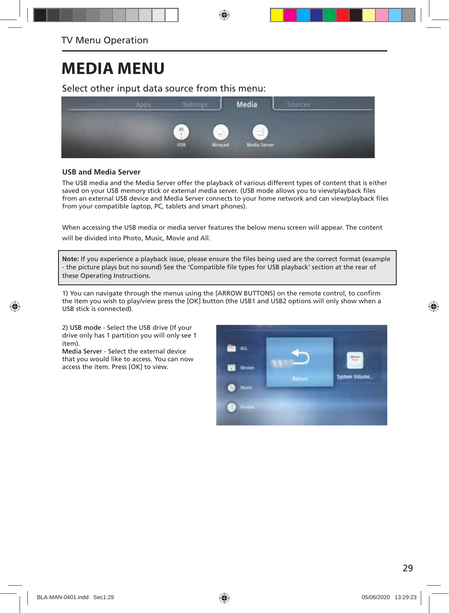## **MEDIA MENU**

Select other input data source from this menu:



#### **USB and Media Server**

The USB media and the Media Server offer the playback of various different types of content that is either saved on your USB memory stick or external media server. (USB mode allows you to view/playback files from an external USB device and Media Server connects to your home network and can view/playback files from your compatible laptop, PC, tablets and smart phones).

When accessing the USB media or media server features the below menu screen will appear. The content will be divided into Photo, Music, Movie and All.

Note: If you experience a playback issue, please ensure the files being used are the correct format (example - the picture plays but no sound) See the 'Compatible file types for USB playback' section at the rear of these Operating Instructions.

1) You can navigate through the menus using the [ARROW BUTTONS] on the remote control, to confirm the item you wish to play/view press the [OK] button (the USB1 and USB2 options will only show when a USB stick is connected).

2) USB mode - Select the USB drive (If your drive only has 1 partition you will only see 1 item).

Media Server - Select the external device that you would like to access. You can now access the item. Press [OK] to view.

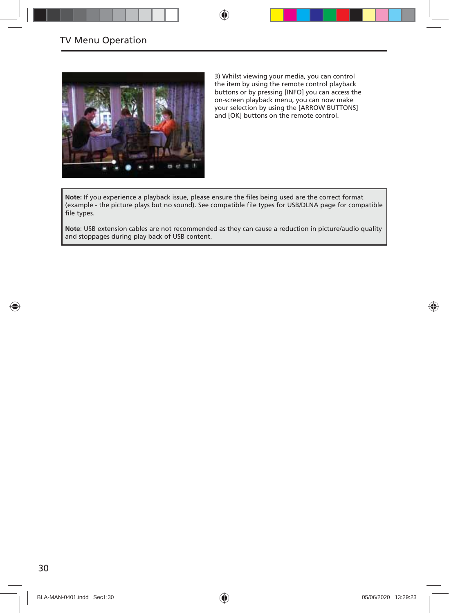

3) Whilst viewing your media, you can control the item by using the remote control playback buttons or by pressing [INFO] you can access the on-screen playback menu, you can now make your selection by using the [ARROW BUTTONS] and [OK] buttons on the remote control.

Note: If you experience a playback issue, please ensure the files being used are the correct format (example - the picture plays but no sound). See compatible file types for USB/DLNA page for compatible file types.

**Note**: USB extension cables are not recommended as they can cause a reduction in picture/audio quality and stoppages during play back of USB content.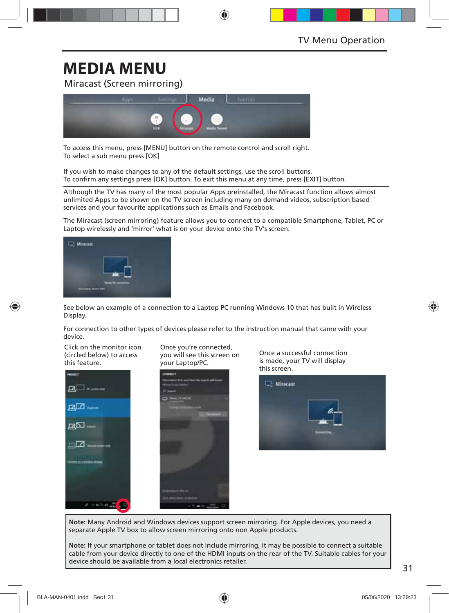## **MEDIA MENU**

Miracast (Screen mirroring)



To access this menu, press [MENU] button on the remote control and scroll right. To select a sub menu press [OK]

If you wish to make changes to any of the default settings, use the scroll buttons. To confirm any settings press [OK] button. To exit this menu at any time, press [EXIT] button.

Although the TV has many of the most popular Apps preinstalled, the Miracast function allows almost unlimited Apps to be shown on the TV screen including many on demand videos, subscription based services and your favourite applications such as Emails and Facebook.

The Miracast (screen mirroring) feature allows you to connect to a compatible Smartphone, Tablet, PC or Laptop wirelessly and 'mirror' what is on your device onto the TV's screen.



See below an example of a connection to a Laptop PC running Windows 10 that has built in Wireless Display.

For connection to other types of devices please refer to the instruction manual that came with your device.

Click on the monitor icon (circled below) to access this feature.



Once you're connected, you will see this screen on your Laptop/PC.



Once a successful connection is made, your TV will display

**Note:** Many Android and Windows devices support screen mirroring. For Apple devices, you need a separate Apple TV box to allow screen mirroring onto non Apple products.

**Note:** If your smartphone or tablet does not include mirroring, it may be possible to connect a suitable cable from your device directly to one of the HDMI inputs on the rear of the TV. Suitable cables for your device should be available from a local electronics retailer.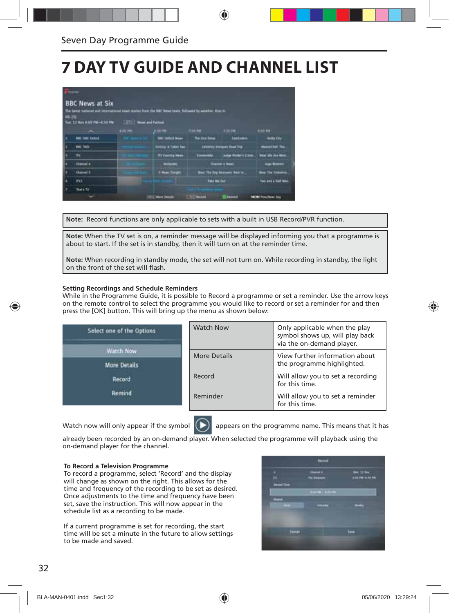## **7 DAY TV GUIDE AND CHANNEL LIST**

|               | <b>BBC News at Six</b><br>The latest satural and international news stories front the BBC News town, fullment by weather, drink in |         |                                 |                           |                                      |                                |
|---------------|------------------------------------------------------------------------------------------------------------------------------------|---------|---------------------------------|---------------------------|--------------------------------------|--------------------------------|
| <b>NB-21L</b> |                                                                                                                                    |         |                                 |                           |                                      |                                |
|               |                                                                                                                                    | 6-84.7M | \$34.00                         | T46 PM                    | <b>END PM 1</b>                      | 6.04.756                       |
|               | <b>MIC THE Culture</b>                                                                                                             |         | <b>BBC Selute Board</b>         | <b>The line Stow</b>      | <b>Santadore</b>                     | <b>Hultle Day</b>              |
|               | <b>Base Track</b>                                                                                                                  |         | <b>Stretch II Takes Two</b>     |                           | <b>Columny Arrested Road Top:</b>    | <b>MuderCluft The</b>          |
|               | <b>IFS</b>                                                                                                                         |         | ITY Exercise News               | nista l                   | <b>Lake Books's Class </b>           | West We has Mass.              |
|               | <b>Chambel 4</b>                                                                                                                   |         | <b><i><u>ALIGNATION</u></i></b> |                           | <b>Shanker &amp; Wears</b>           | <b>Legal Middleton</b>         |
|               | <b>Chansel II</b>                                                                                                                  |         | <b>1. News Transport</b>        |                           | <b>And The Dry Newcastle Red in.</b> | <b>Rew The Nortrollin</b>      |
|               | <b>INT</b>                                                                                                                         |         |                                 | Take My 250               |                                      | Two and a Half Men             |
|               | fian fr                                                                                                                            |         |                                 |                           |                                      |                                |
|               |                                                                                                                                    |         | 1975 Mon Totals                 | <b>SEARCH AND INCOME.</b> | <b>Lumps</b>                         | <b>In the Procedured State</b> |

**Note:** Record functions are only applicable to sets with a built in USB Record/PVR function.

**Note:** When the TV set is on, a reminder message will be displayed informing you that a programme is about to start. If the set is in standby, then it will turn on at the reminder time.

**Note:** When recording in standby mode, the set will not turn on. While recording in standby, the light on the front of the set will flash.

#### **Setting Recordings and Schedule Reminders**

While in the Programme Guide, it is possible to Record a programme or set a reminder. Use the arrow keys on the remote control to select the programme you would like to record or set a reminder for and then press the [OK] button. This will bring up the menu as shown below:

| Select one of the Options | <b>Watch Now</b> | Only applicable when the play<br>symbol shows up, will play back<br>via the on-demand player. |
|---------------------------|------------------|-----------------------------------------------------------------------------------------------|
| Watch Now                 | More Details     | View further information about                                                                |
| <b>More Details</b>       |                  | the programme highlighted.                                                                    |
| <b>Record</b>             | Record           | Will allow you to set a recording<br>for this time.                                           |
| Remind                    | Reminder         | Will allow you to set a reminder<br>for this time.                                            |



Watch now will only appear if the symbol  $\Box$  appears on the programme name. This means that it has

already been recorded by an on-demand player. When selected the programme will playback using the on-demand player for the channel.

#### **To Record a Television Programme**

To record a programme, select 'Record' and the display will change as shown on the right. This allows for the time and frequency of the recording to be set as desired. Once adjustments to the time and frequency have been set, save the instruction. This will now appear in the schedule list as a recording to be made.

If a current programme is set for recording, the start time will be set a minute in the future to allow settings to be made and saved.

an an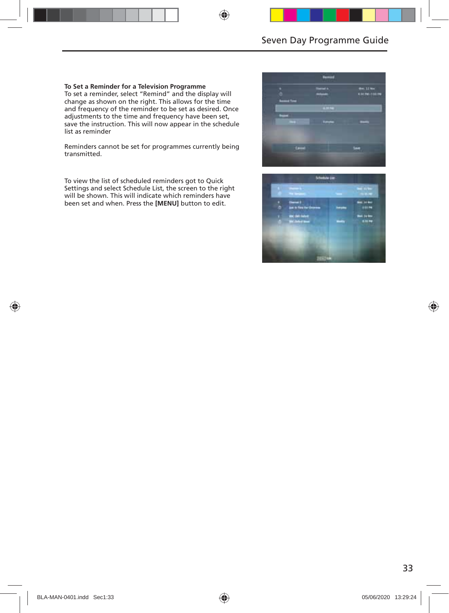#### **To Set a Reminder for a Television Programme**

To set a reminder, select "Remind" and the display will change as shown on the right. This allows for the time and frequency of the reminder to be set as desired. Once adjustments to the time and frequency have been set, save the instruction. This will now appear in the schedule list as reminder

Reminders cannot be set for programmes currently being transmitted.

To view the list of scheduled reminders got to Quick Settings and select Schedule List, the screen to the right will be shown. This will indicate which reminders have been set and when. Press the **[MENU]** button to edit.



|  | <b>Contract Contract Contract</b>              |    | <b><i><u>Profit Administration</u></i></b> |
|--|------------------------------------------------|----|--------------------------------------------|
|  | States I<br>Anti-Frankrijke                    | -- | del is be-<br>11174                        |
|  | <b>Civil Subst</b><br><b>MC School Service</b> |    | <b>Box 34 loss</b><br><b>Killing</b>       |
|  |                                                |    |                                            |
|  |                                                |    |                                            |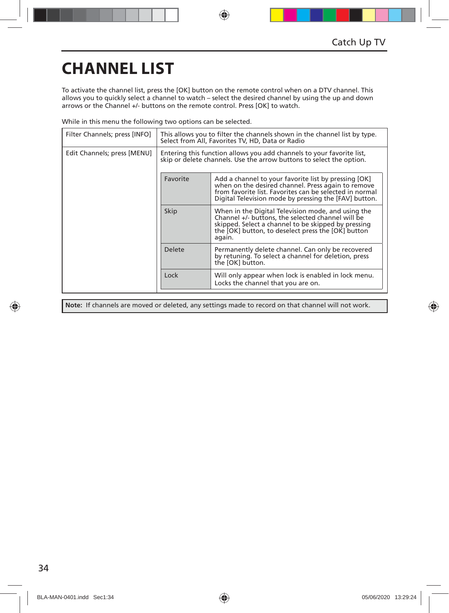## **CHANNEL LIST**

To activate the channel list, press the [OK] button on the remote control when on a DTV channel. This allows you to quickly select a channel to watch – select the desired channel by using the up and down arrows or the Channel +/- buttons on the remote control. Press [OK] to watch.

While in this menu the following two options can be selected.

| Filter Channels; press [INFO] | This allows you to filter the channels shown in the channel list by type.<br>Select from All, Favorites TV, HD, Data or Radio                 |                                                                                                                                                                                                                                |  |
|-------------------------------|-----------------------------------------------------------------------------------------------------------------------------------------------|--------------------------------------------------------------------------------------------------------------------------------------------------------------------------------------------------------------------------------|--|
| Edit Channels; press [MENU]   | Entering this function allows you add channels to your favorite list,<br>skip or delete channels. Use the arrow buttons to select the option. |                                                                                                                                                                                                                                |  |
|                               | Favorite                                                                                                                                      | Add a channel to your favorite list by pressing [OK]<br>when on the desired channel. Press again to remove<br>from favorite list. Favorites can be selected in normal<br>Digital Television mode by pressing the [FAV] button. |  |
|                               | Skip                                                                                                                                          | When in the Digital Television mode, and using the<br>Channel +/- buttons, the selected channel will be<br>skipped. Select a channel to be skipped by pressing<br>the [OK] button, to deselect press the [OK] button<br>again. |  |
|                               | <b>Delete</b>                                                                                                                                 | Permanently delete channel. Can only be recovered<br>by retuning. To select a channel for deletion, press<br>the [OK] button.                                                                                                  |  |
|                               | Lock                                                                                                                                          | Will only appear when lock is enabled in lock menu.<br>Locks the channel that you are on.                                                                                                                                      |  |

**Note:** If channels are moved or deleted, any settings made to record on that channel will not work.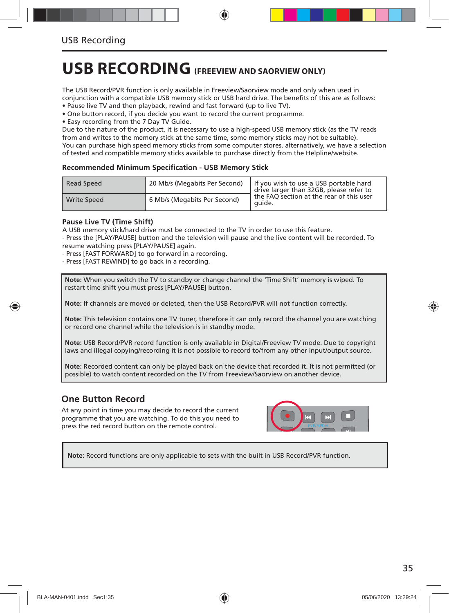## **USB RECORDING (FREEVIEW AND SAORVIEW ONLY)**

The USB Record/PVR function is only available in Freeview/Saorview mode and only when used in conjunction with a compatible USB memory stick or USB hard drive. The benefits of this are as follows:

• Pause live TV and then playback, rewind and fast forward (up to live TV).

• One button record, if you decide you want to record the current programme.

• Easy recording from the 7 Day TV Guide.

Due to the nature of the product, it is necessary to use a high-speed USB memory stick (as the TV reads from and writes to the memory stick at the same time, some memory sticks may not be suitable). You can purchase high speed memory sticks from some computer stores, alternatively, we have a selection of tested and compatible memory sticks available to purchase directly from the Helpline/website.

#### **Recommended Minimum Specifi cation - USB Memory Stick**

| Read Speed         | 20 Mb/s (Megabits Per Second) | If you wish to use a USB portable hard<br>drive larger than 32GB, please refer to |
|--------------------|-------------------------------|-----------------------------------------------------------------------------------|
| <b>Write Speed</b> | 6 Mb/s (Megabits Per Second)  | the FAO section at the rear of this user<br>quide.                                |

#### **Pause Live TV (Time Shift)**

A USB memory stick/hard drive must be connected to the TV in order to use this feature. - Press the [PLAY/PAUSE] button and the television will pause and the live content will be recorded. To resume watching press [PLAY/PAUSE] again.

- Press [FAST FORWARD] to go forward in a recording.

- Press [FAST REWIND] to go back in a recording.

**Note:** When you switch the TV to standby or change channel the 'Time Shift' memory is wiped. To restart time shift you must press [PLAY/PAUSE] button.

**Note:** If channels are moved or deleted, then the USB Record/PVR will not function correctly.

**Note:** This television contains one TV tuner, therefore it can only record the channel you are watching or record one channel while the television is in standby mode.

**Note:** USB Record/PVR record function is only available in Digital/Freeview TV mode. Due to copyright laws and illegal copying/recording it is not possible to record to/from any other input/output source.

**Note:** Recorded content can only be played back on the device that recorded it. It is not permitted (or possible) to watch content recorded on the TV from Freeview/Saorview on another device.

### **One Button Record**

At any point in time you may decide to record the current programme that you are watching. To do this you need to press the red record button on the remote control.



**Note:** Record functions are only applicable to sets with the built in USB Record/PVR function.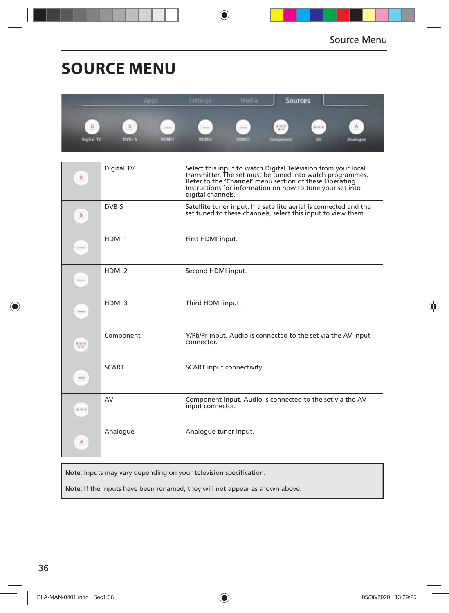## **SOURCE MENU**

|                        |                                   | ងោល                                               | ettings                       | <b>ICLE</b>  | Sources             |           |               |
|------------------------|-----------------------------------|---------------------------------------------------|-------------------------------|--------------|---------------------|-----------|---------------|
| Þ<br><b>Olgital TV</b> | 5<br><b>STATISTICS</b><br>$DVM-5$ | <b>Contract Contract Contract</b><br><b>HOMES</b> | ---<br>-<br>-<br><b>SINGH</b> | <b>CINOH</b> | $-4.4$<br>Cumponent | <b>AV</b> | А<br>Analogue |

| D            | Digital TV        | Select this input to watch Digital Television from your local<br>transmitter. The set must be tuned into watch programmes.<br>Refer to the 'Channel' menu section of these Operating<br>Instructions for information on how to tune your set into<br>digital channels. |
|--------------|-------------------|------------------------------------------------------------------------------------------------------------------------------------------------------------------------------------------------------------------------------------------------------------------------|
| S            | DVB-S             | Satellite tuner input. If a satellite aerial is connected and the<br>set tuned to these channels, select this input to view them.                                                                                                                                      |
| $-$          | HDMI <sub>1</sub> | First HDMI input.                                                                                                                                                                                                                                                      |
| -            | HDMI <sub>2</sub> | Second HDMI input.                                                                                                                                                                                                                                                     |
| -            | HDMI3             | Third HDMI input.                                                                                                                                                                                                                                                      |
| 55           | Component         | Y/Pb/Pr input. Audio is connected to the set via the AV input<br>connector.                                                                                                                                                                                            |
| <b>STATE</b> | <b>SCART</b>      | SCART input connectivity.                                                                                                                                                                                                                                              |
| ala ki       | AV                | Component input. Audio is connected to the set via the AV<br>input connector.                                                                                                                                                                                          |
| ٨.           | Analogue          | Analogue tuner input.                                                                                                                                                                                                                                                  |

Note: Inputs may vary depending on your television specification.

**Note:** If the inputs have been renamed, they will not appear as shown above.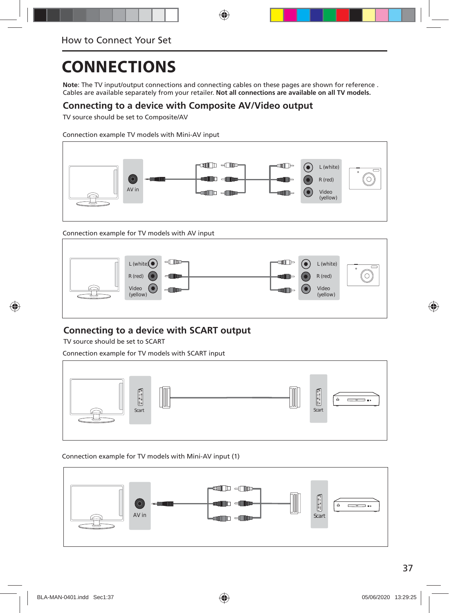**Note**: The TV input/output connections and connecting cables on these pages are shown for reference . Cables are available separately from your retailer. **Not all connections are available on all TV models.**

### **Connecting to a device with Composite AV/Video output**

TV source should be set to Composite/AV

Connection example TV models with Mini-AV input



Connection example for TV models with AV input



### **Connecting to a device with SCART output**

TV source should be set to SCART

Connection example for TV models with SCART input



#### Connection example for TV models with Mini-AV input (1)

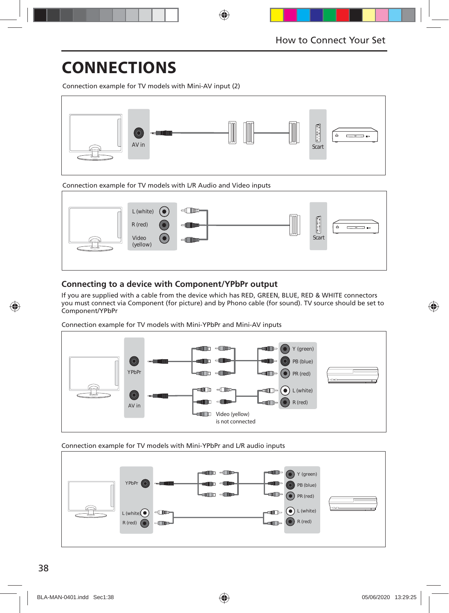Connection example for TV models with Mini-AV input (2)



Connection example for TV models with L/R Audio and Video inputs



### **Connecting to a device with Component/YPbPr output**

If you are supplied with a cable from the device which has RED, GREEN, BLUE, RED & WHITE connectors you must connect via Component (for picture) and by Phono cable (for sound). TV source should be set to Component/YPbPr

Connection example for TV models with Mini-YPbPr and Mini-AV inputs



Connection example for TV models with Mini-YPbPr and L/R audio inputs

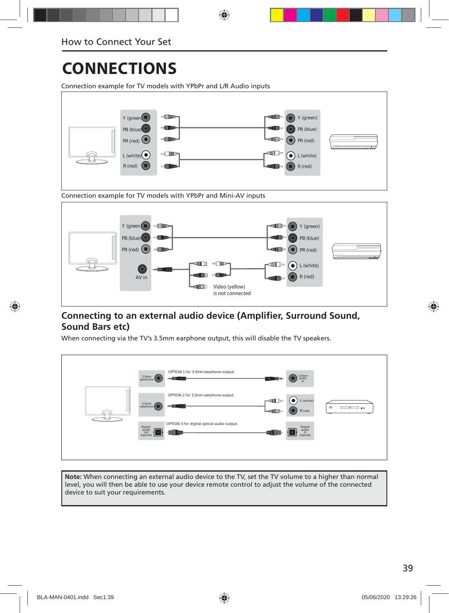Connection example for TV models with YPbPr and L/R Audio inputs





### **Connecting to an external audio device (Amplifier, Surround Sound, Sound Bars etc)**

When connecting via the TV's 3.5mm earphone output, this will disable the TV speakers.

| OPTION 1 for 3.5mm earphone output.<br>$\begin{array}{c} 3.5\text{mm} \\ \text{audio}\\ \text{in} \end{array}$<br>3.5mm<br>earphone<br>$-$<br><b>Lup</b>                             |
|--------------------------------------------------------------------------------------------------------------------------------------------------------------------------------------|
| OPTION 2 for 3.5mm earphone output.<br>$\left( \bullet \right)$<br>L (white)<br>⊪⊫<br>3.5mm<br>earphone<br><b>card</b><br>$\dot{=}$<br>—<br>$\mathbf{B}$ is<br>$-$ an $-$<br>R (red) |
| OPTION 3 for digital optical audio output.<br>Digital<br>audio<br>out<br>(optical)<br>Digital<br>audio<br>in<br>(optical)<br>$\cdot$                                                 |

**Note:** When connecting an external audio device to the TV, set the TV volume to a higher than normal level, you will then be able to use your device remote control to adjust the volume of the connected device to suit your requirements.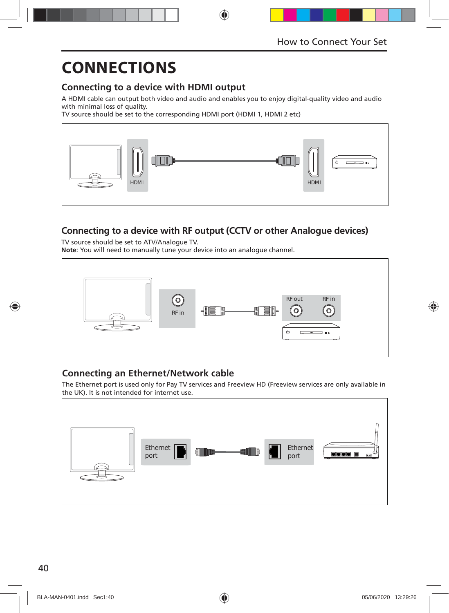### **Connecting to a device with HDMI output**

A HDMI cable can output both video and audio and enables you to enjoy digital-quality video and audio with minimal loss of quality.

TV source should be set to the corresponding HDMI port (HDMI 1, HDMI 2 etc)



### **Connecting to a device with RF output (CCTV or other Analogue devices)**

TV source should be set to ATV/Analogue TV. **Note**: You will need to manually tune your device into an analogue channel.



### **Connecting an Ethernet/Network cable**

The Ethernet port is used only for Pay TV services and Freeview HD (Freeview services are only available in the UK). It is not intended for internet use.

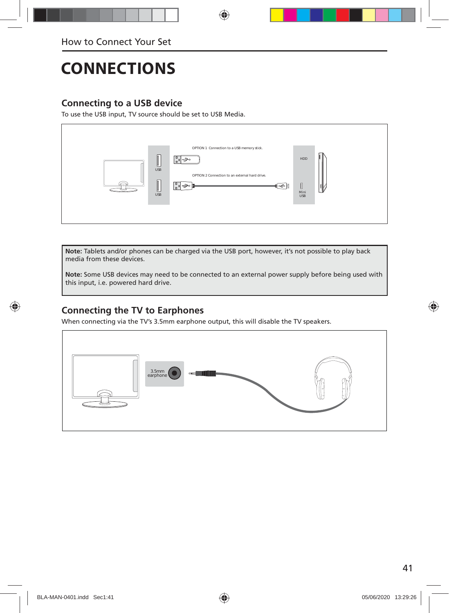### **Connecting to a USB device**

To use the USB input, TV source should be set to USB Media.



**Note:** Tablets and/or phones can be charged via the USB port, however, it's not possible to play back media from these devices.

**Note:** Some USB devices may need to be connected to an external power supply before being used with this input, i.e. powered hard drive.

### **Connecting the TV to Earphones**

When connecting via the TV's 3.5mm earphone output, this will disable the TV speakers.

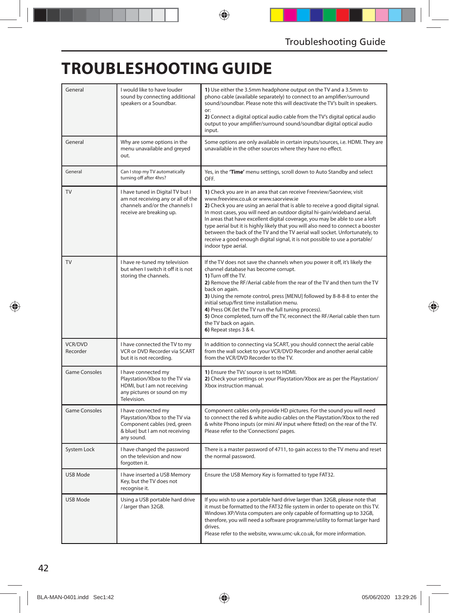## **TROUBLESHOOTING GUIDE**

| General                    | I would like to have louder<br>sound by connecting additional<br>speakers or a Soundbar.                                              | 1) Use either the 3.5mm headphone output on the TV and a 3.5mm to<br>phono cable (available separately) to connect to an amplifier/surround<br>sound/soundbar. Please note this will deactivate the TV's built in speakers.<br>or:<br>2) Connect a digital optical audio cable from the TV's digital optical audio<br>output to your amplifier/surround sound/soundbar digital optical audio<br>input.                                                                                                                                                                                                                                 |
|----------------------------|---------------------------------------------------------------------------------------------------------------------------------------|----------------------------------------------------------------------------------------------------------------------------------------------------------------------------------------------------------------------------------------------------------------------------------------------------------------------------------------------------------------------------------------------------------------------------------------------------------------------------------------------------------------------------------------------------------------------------------------------------------------------------------------|
| General                    | Why are some options in the<br>menu unavailable and greyed<br>out.                                                                    | Some options are only available in certain inputs/sources, i.e. HDMI. They are<br>unavailable in the other sources where they have no effect.                                                                                                                                                                                                                                                                                                                                                                                                                                                                                          |
| General                    | Can I stop my TV automatically<br>turning off after 4hrs?                                                                             | Yes, in the 'Time' menu settings, scroll down to Auto Standby and select<br>OFF                                                                                                                                                                                                                                                                                                                                                                                                                                                                                                                                                        |
| TV                         | I have tuned in Digital TV but I<br>am not receiving any or all of the<br>channels and/or the channels I<br>receive are breaking up.  | 1) Check you are in an area that can receive Freeview/Saorview, visit<br>www.freeview.co.uk or www.saorview.ie<br>2) Check you are using an aerial that is able to receive a good digital signal.<br>In most cases, you will need an outdoor digital hi-gain/wideband aerial.<br>In areas that have excellent digital coverage, you may be able to use a loft<br>type aerial but it is highly likely that you will also need to connect a booster<br>between the back of the TV and the TV aerial wall socket. Unfortunately, to<br>receive a good enough digital signal, it is not possible to use a portable/<br>indoor type aerial. |
| <b>TV</b>                  | I have re-tuned my television<br>but when I switch it off it is not<br>storing the channels.                                          | If the TV does not save the channels when you power it off, it's likely the<br>channel database has become corrupt.<br>1) Turn off the TV.<br>2) Remove the RF/Aerial cable from the rear of the TV and then turn the TV<br>back on again.<br>3) Using the remote control, press [MENU] followed by 8-8-8-8 to enter the<br>initial setup/first time installation menu.<br>4) Press OK (let the TV run the full tuning process).<br>5) Once completed, turn off the TV, reconnect the RF/Aerial cable then turn<br>the TV back on again.<br>6) Repeat steps 3 & 4.                                                                     |
| <b>VCR/DVD</b><br>Recorder | I have connected the TV to my<br>VCR or DVD Recorder via SCART<br>but it is not recording.                                            | In addition to connecting via SCART, you should connect the aerial cable<br>from the wall socket to your VCR/DVD Recorder and another aerial cable<br>from the VCR/DVD Recorder to the TV.                                                                                                                                                                                                                                                                                                                                                                                                                                             |
| <b>Game Consoles</b>       | I have connected my<br>Playstation/Xbox to the TV via<br>HDMI, but I am not receiving<br>any pictures or sound on my<br>Television.   | 1) Ensure the TVs' source is set to HDMI.<br>2) Check your settings on your Playstation/Xbox are as per the Playstation/<br>Xbox instruction manual.                                                                                                                                                                                                                                                                                                                                                                                                                                                                                   |
| <b>Game Consoles</b>       | I have connected my<br>Playstation/Xbox to the TV via<br>Component cables (red, green<br>& blue) but I am not receiving<br>any sound. | Component cables only provide HD pictures. For the sound you will need<br>to connect the red & white audio cables on the Playstation/Xbox to the red<br>& white Phono inputs (or mini AV input where fitted) on the rear of the TV.<br>Please refer to the 'Connections' pages.                                                                                                                                                                                                                                                                                                                                                        |
| System Lock                | I have changed the password<br>on the television and now<br>forgotten it.                                                             | There is a master password of 4711, to gain access to the TV menu and reset<br>the normal password.                                                                                                                                                                                                                                                                                                                                                                                                                                                                                                                                    |
| USB Mode                   | I have inserted a USB Memory<br>Key, but the TV does not<br>recognise it.                                                             | Ensure the USB Memory Key is formatted to type FAT32.                                                                                                                                                                                                                                                                                                                                                                                                                                                                                                                                                                                  |
| USB Mode                   | Using a USB portable hard drive<br>/ larger than 32GB.                                                                                | If you wish to use a portable hard drive larger than 32GB, please note that<br>it must be formatted to the FAT32 file system in order to operate on this TV.<br>Windows XP/Vista computers are only capable of formatting up to 32GB,<br>therefore, you will need a software programme/utility to format larger hard<br>drives.<br>Please refer to the website, www.umc-uk.co.uk, for more information.                                                                                                                                                                                                                                |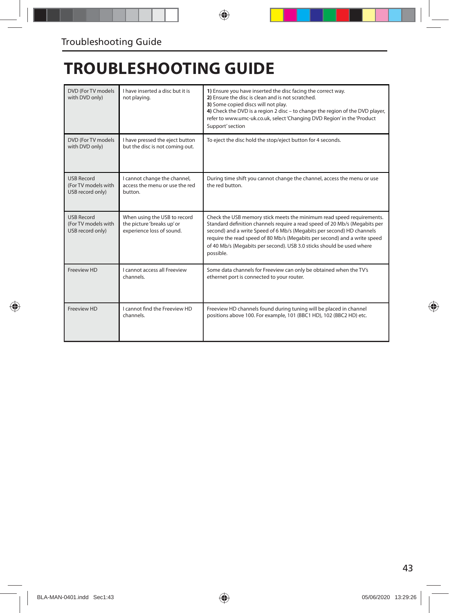## **TROUBLESHOOTING GUIDE**

| DVD (For TV models<br>with DVD only)                         | I have inserted a disc but it is<br>not playing.                                        | 1) Ensure you have inserted the disc facing the correct way.<br>2) Ensure the disc is clean and is not scratched.<br>3) Some copied discs will not play.<br>4) Check the DVD is a region 2 disc - to change the region of the DVD player,<br>refer to www.umc-uk.co.uk, select 'Changing DVD Region' in the 'Product<br>Support' section                                                        |
|--------------------------------------------------------------|-----------------------------------------------------------------------------------------|-------------------------------------------------------------------------------------------------------------------------------------------------------------------------------------------------------------------------------------------------------------------------------------------------------------------------------------------------------------------------------------------------|
| DVD (For TV models)<br>with DVD only)                        | I have pressed the eject button<br>but the disc is not coming out.                      | To eject the disc hold the stop/eject button for 4 seconds.                                                                                                                                                                                                                                                                                                                                     |
| <b>USB Record</b><br>(For TV models with<br>USB record only) | I cannot change the channel,<br>access the menu or use the red<br>button.               | During time shift you cannot change the channel, access the menu or use<br>the red button.                                                                                                                                                                                                                                                                                                      |
| <b>USB Record</b><br>(For TV models with<br>USB record only) | When using the USB to record<br>the picture 'breaks up' or<br>experience loss of sound. | Check the USB memory stick meets the minimum read speed requirements.<br>Standard definition channels require a read speed of 20 Mb/s (Megabits per<br>second) and a write Speed of 6 Mb/s (Megabits per second) HD channels<br>require the read speed of 80 Mb/s (Megabits per second) and a write speed<br>of 40 Mb/s (Megabits per second). USB 3.0 sticks should be used where<br>possible. |
| Freeview HD                                                  | I cannot access all Freeview<br>channels.                                               | Some data channels for Freeview can only be obtained when the TV's<br>ethernet port is connected to your router.                                                                                                                                                                                                                                                                                |
| Freeview HD                                                  | I cannot find the Freeview HD<br>channels.                                              | Freeview HD channels found during tuning will be placed in channel<br>positions above 100. For example, 101 (BBC1 HD), 102 (BBC2 HD) etc.                                                                                                                                                                                                                                                       |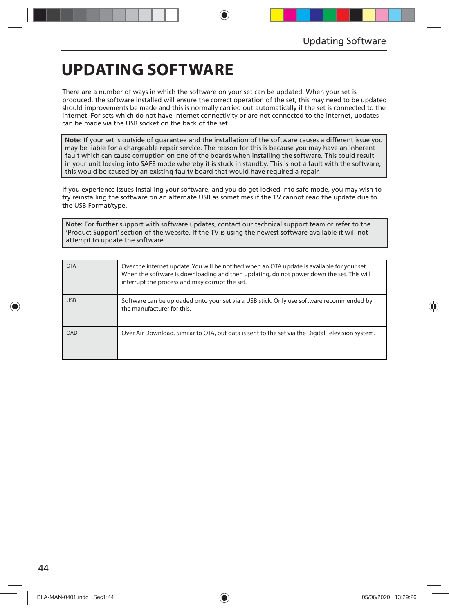## **UPDATING SOFTWARE**

There are a number of ways in which the software on your set can be updated. When your set is produced, the software installed will ensure the correct operation of the set, this may need to be updated should improvements be made and this is normally carried out automatically if the set is connected to the internet. For sets which do not have internet connectivity or are not connected to the internet, updates can be made via the USB socket on the back of the set.

**Note:** If your set is outside of guarantee and the installation of the software causes a different issue you may be liable for a chargeable repair service. The reason for this is because you may have an inherent fault which can cause corruption on one of the boards when installing the software. This could result in your unit locking into SAFE mode whereby it is stuck in standby. This is not a fault with the software, this would be caused by an existing faulty board that would have required a repair.

If you experience issues installing your software, and you do get locked into safe mode, you may wish to try reinstalling the software on an alternate USB as sometimes if the TV cannot read the update due to the USB Format/type.

**Note:** For further support with software updates, contact our technical support team or refer to the 'Product Support' section of the website. If the TV is using the newest software available it will not attempt to update the software.

| <b>OTA</b> | Over the internet update. You will be notified when an OTA update is available for your set.<br>When the software is downloading and then updating, do not power down the set. This will<br>interrupt the process and may corrupt the set. |
|------------|--------------------------------------------------------------------------------------------------------------------------------------------------------------------------------------------------------------------------------------------|
| <b>USB</b> | Software can be uploaded onto your set via a USB stick. Only use software recommended by<br>the manufacturer for this.                                                                                                                     |
| OAD        | Over Air Download. Similar to OTA, but data is sent to the set via the Digital Television system.                                                                                                                                          |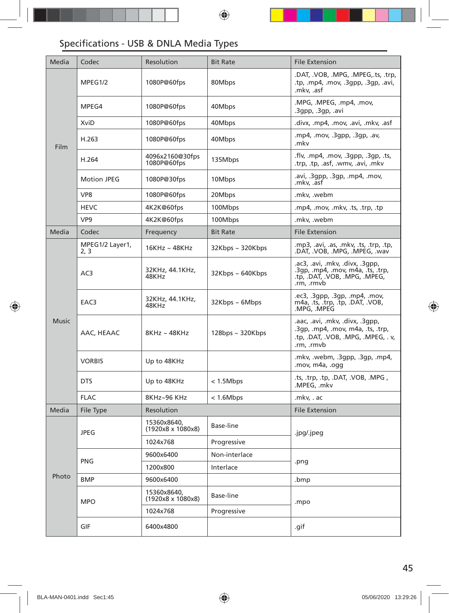### Specifications - USB & DNLA Media Types

| Media        | Codec                   | Resolution                              | <b>Bit Rate</b>        | <b>File Extension</b>                                                                                                   |  |
|--------------|-------------------------|-----------------------------------------|------------------------|-------------------------------------------------------------------------------------------------------------------------|--|
| Film         | MPEG1/2                 | 1080P@60fps                             | 80Mbps                 | .DAT, .VOB, .MPG, .MPEG,.ts, .trp,<br>.tp, .mp4, .mov, .3gpp, .3gp, .avi,<br>.mkv, .asf                                 |  |
|              | MPEG4                   | 1080P@60fps                             | 40Mbps                 | .MPG, .MPEG, .mp4, .mov,<br>.3gpp, .3gp, .avi                                                                           |  |
|              | XviD                    | 1080P@60fps                             | 40Mbps                 | .divx, .mp4, .mov, .avi, .mkv, .asf                                                                                     |  |
|              | H.263                   | 1080P@60fps                             | 40Mbps                 | .mp4, .mov, .3qpp, .3qp, .av,<br>.mkv                                                                                   |  |
|              | H.264                   | 4096x2160@30fps<br>1080P@60fps          | 135Mbps                | .flv, .mp4, .mov, .3gpp, .3gp, .ts,<br>.trp, .tp, .asf, .wmv, .avi, .mkv                                                |  |
|              | <b>Motion JPEG</b>      | 1080P@30fps                             | 10Mbps                 | .avi, .3qpp, .3qp, .mp4, .mov,<br>.mkv, .asf                                                                            |  |
|              | VP8                     | 1080P@60fps                             | 20Mbps                 | .mkv, .webm                                                                                                             |  |
|              | <b>HEVC</b>             | 4K2K@60fps                              | 100Mbps                | .mp4, .mov, .mkv, .ts, .trp, .tp                                                                                        |  |
|              | VP <sub>9</sub>         | 4K2K@60fps                              | 100Mbps                | .mkv, .webm                                                                                                             |  |
| Media        | Codec                   | Frequency                               | <b>Bit Rate</b>        | <b>File Extension</b>                                                                                                   |  |
| <b>Music</b> | MPEG1/2 Layer1,<br>2, 3 | $16KHz \sim 48KHz$                      | 32Kbps ~ 320Kbps       | .mp3, .avi, .as, .mkv, .ts, .trp, .tp,<br>.DAT, .VOB, .MPG, .MPEG, .wav                                                 |  |
|              | AC3                     | 32KHz, 44.1KHz,<br>48KHz                | $32Kbps \sim 640Kbps$  | .ac3, .avi, .mkv, .divx, .3qpp,<br>.3qp, .mp4, .mov, m4a, .ts, .trp,<br>.tp, .DAT, .VOB, .MPG, .MPEG,<br>.rm, .rmvb     |  |
|              | EAC3                    | 32KHz, 44.1KHz,<br>48KHz                | $32Kbps \sim 6Mbps$    | .ec3, .3gpp, .3gp, .mp4, .mov,<br>m4a, .ts, .trp, .tp, .DAT, .VOB,<br>.MPG, .MPEG                                       |  |
|              | AAC, HEAAC              | 8KHz~48KHz                              | $128$ bps ~ $320K$ bps | .aac, .avi, .mkv, .divx, .3qpp,<br>.3gp, .mp4, .mov, m4a, .ts, .trp,<br>.tp, .DAT, .VOB, .MPG, .MPEG, .v,<br>.rm, .rmvb |  |
|              | <b>VORBIS</b>           | Up to 48KHz                             |                        | .mkv, .webm, .3gpp, .3gp, .mp4,<br>.mov, m4a, .ogg                                                                      |  |
|              | <b>DTS</b>              | Up to 48KHz                             | < 1.5Mbps              | .ts, .trp, .tp, .DAT, .VOB, .MPG,<br>.MPEG, .mkv                                                                        |  |
|              | <b>FLAC</b>             | 8KHz~96 KHz                             | < 1.6 Mbps             | .mkv, . ac                                                                                                              |  |
| Media        | File Type               | Resolution                              |                        | <b>File Extension</b>                                                                                                   |  |
| Photo        | <b>JPEG</b>             | 15360x8640,<br>(1920x8 x 1080x8)        | Base-line              | .jpg/.jpeg                                                                                                              |  |
|              |                         | 1024x768                                | Progressive            |                                                                                                                         |  |
|              | <b>PNG</b>              | 9600x6400                               | Non-interlace          |                                                                                                                         |  |
|              |                         | 1200x800                                | Interlace              | .png                                                                                                                    |  |
|              | <b>BMP</b>              | 9600x6400                               |                        | .bmp                                                                                                                    |  |
|              | <b>MPO</b>              | 15360x8640,<br>$(1920x8 \times 1080x8)$ | Base-line              | .mpo                                                                                                                    |  |
|              |                         | 1024x768                                | Progressive            |                                                                                                                         |  |
|              | GIF                     | 6400x4800                               |                        | .gif                                                                                                                    |  |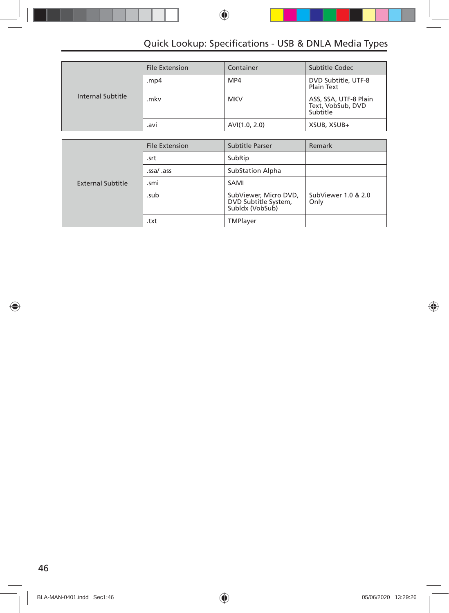### Quick Lookup: Specifications - USB & DNLA Media Types

|                   | <b>File Extension</b> | Container     | Subtitle Codec                                         |
|-------------------|-----------------------|---------------|--------------------------------------------------------|
|                   | .mp4                  | MP4           | DVD Subtitle, UTF-8<br>Plain Text                      |
| Internal Subtitle | .mkv                  | <b>MKV</b>    | ASS, SSA, UTF-8 Plain<br>Text, VobSub, DVD<br>Subtitle |
|                   | .avi                  | AVI(1.0, 2.0) | XSUB, XSUB+                                            |

|                   | <b>File Extension</b> | Subtitle Parser                                                  | Remark                      |
|-------------------|-----------------------|------------------------------------------------------------------|-----------------------------|
|                   | .srt                  | SubRip                                                           |                             |
|                   | .ssa/ .ass            | <b>SubStation Alpha</b>                                          |                             |
| External Subtitle | .smi                  | SAMI                                                             |                             |
|                   | .sub                  | SubViewer, Micro DVD,<br>DVD Subtitle System,<br>Subldx (VobSub) | SubViewer 1.0 & 2.0<br>Only |
|                   | .txt                  | TMPlayer                                                         |                             |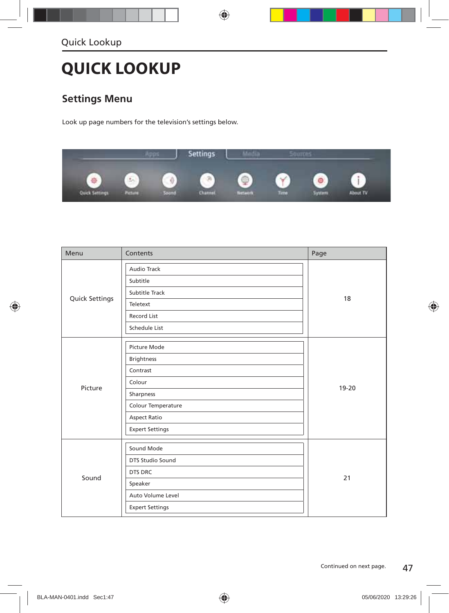## **QUICK LOOKUP**

### **Settings Menu**

Look up page numbers for the television's settings below.



| Menu           | Contents               | Page  |  |
|----------------|------------------------|-------|--|
|                | Audio Track            |       |  |
|                | Subtitle               |       |  |
|                | Subtitle Track         |       |  |
| Quick Settings | Teletext               | 18    |  |
|                | Record List            |       |  |
|                | Schedule List          |       |  |
|                | Picture Mode           |       |  |
|                | <b>Brightness</b>      | 19-20 |  |
|                | Contrast               |       |  |
|                | Colour                 |       |  |
| Picture        | Sharpness              |       |  |
|                | Colour Temperature     |       |  |
|                | <b>Aspect Ratio</b>    |       |  |
|                | <b>Expert Settings</b> |       |  |
|                | Sound Mode             |       |  |
|                | DTS Studio Sound       |       |  |
|                | DTS DRC                |       |  |
| Sound          | Speaker                | 21    |  |
|                | Auto Volume Level      |       |  |
|                | <b>Expert Settings</b> |       |  |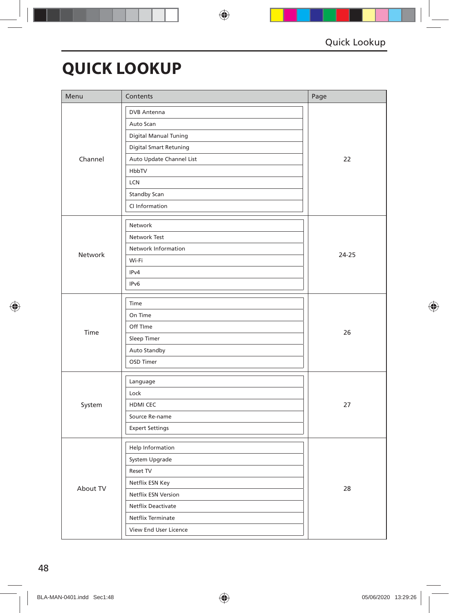## **QUICK LOOKUP**

| Menu     | Contents                      | Page      |  |
|----------|-------------------------------|-----------|--|
|          | <b>DVB</b> Antenna            |           |  |
|          | Auto Scan                     |           |  |
|          | <b>Digital Manual Tuning</b>  |           |  |
|          | <b>Digital Smart Retuning</b> |           |  |
| Channel  | Auto Update Channel List      | 22        |  |
|          | HbbTV                         |           |  |
|          | LCN                           |           |  |
|          | Standby Scan                  |           |  |
|          | CI Information                |           |  |
|          | Network                       |           |  |
|          | Network Test                  |           |  |
|          | Network Information           | $24 - 25$ |  |
| Network  | Wi-Fi                         |           |  |
|          | IPv4                          |           |  |
|          | IPv6                          |           |  |
|          | Time                          |           |  |
|          | On Time                       |           |  |
|          | Off TIme                      |           |  |
| Time     | Sleep Timer                   | 26        |  |
|          | Auto Standby                  |           |  |
|          | OSD Timer                     |           |  |
|          | Language                      |           |  |
|          | Lock                          |           |  |
| System   | HDMI CEC                      | 27        |  |
|          | Source Re-name                |           |  |
|          | <b>Expert Settings</b>        |           |  |
|          | Help Information              |           |  |
|          | System Upgrade                |           |  |
|          | Reset TV                      |           |  |
|          | Netflix ESN Key               |           |  |
| About TV | Netflix ESN Version           | 28        |  |
|          | Netflix Deactivate            |           |  |
|          | Netflix Terminate             |           |  |
|          | View End User Licence         |           |  |
|          |                               |           |  |